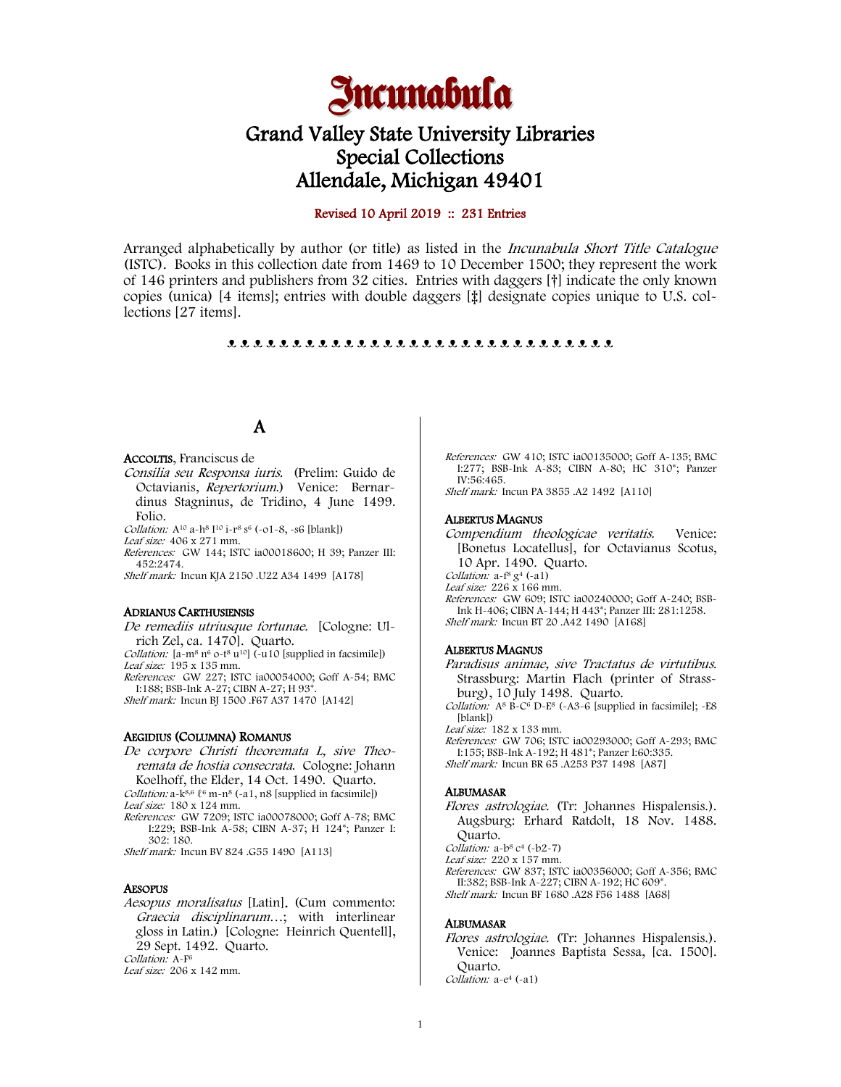

# Grand Valley State University Libraries Special Collections Allendale, Michigan 49401

### Revised 10 April 2019 :: 231 Entries

Arranged alphabetically by author (or title) as listed in the *Incunabula Short Title Catalogue* (ISTC). Books in this collection date from 1469 to 10 December 1500; they represent the work of 146 printers and publishers from 32 cities. Entries with daggers [†] indicate the only known copies (unica) [4 items]; entries with double daggers [‡] designate copies unique to U.S. collections [27 items].

#### ᴥ ᴥ ᴥ ᴥ ᴥ ᴥ ᴥ ᴥ ᴥ ᴥ ᴥ ᴥ ᴥ ᴥ ᴥ ᴥ ᴥ ᴥ ᴥ ᴥ ᴥ ᴥ ᴥ ᴥ ᴥ ᴥ ᴥ ᴥ ᴥ ᴥ

# A

#### ACCOLTIS, Franciscus de

- Consilia seu Responsa iuris. (Prelim: Guido de Octavianis, Repertorium.) Venice: Bernardinus Stagninus, de Tridino, 4 June 1499. Folio.
- Collation: A<sup>10</sup> a-h<sup>8</sup> I<sup>10</sup> i-r<sup>8</sup> s<sup>6</sup> (-01-8, -s6 [blank])
- Leaf size: 406 x 271 mm. References: GW 144; ISTC ia00018600; H 39; Panzer III: 452:2474.

Shelf mark: Incun KJA 2150 .U22 A34 1499 [A178]

#### ADRIANUS CARTHUSIENSIS

De remediis utriusque fortunae. [Cologne: Ulrich Zel, ca. 1470]. Quarto.

Collation: [a-m<sup>8</sup> n<sup>6</sup> o-t<sup>8</sup> u<sup>10</sup>] (-u10 [supplied in facsimile]) Leaf size: 195 x 135 mm. References: GW 227; ISTC ia00054000; Goff A-54; BMC I:188; BSB-Ink A-27; CIBN A-27; H 93\*.

Shelf mark: Incun BJ 1500 .F67 A37 1470 [A142]

#### AEGIDIUS (COLUMNA) ROMANUS

De corpore Christi theoremata L, sive Theoremata de hostia consecrata. Cologne: Johann Koelhoff, the Elder, 14 Oct. 1490. Quarto.

Collation: a-k<sup>8,6</sup>  $\ell$ <sup>6</sup> m-n<sup>8</sup> (-a1, n8 [supplied in facsimile]) Leaf size: 180 x 124 mm.

References: GW 7209; ISTC ia00078000; Goff A-78; BMC I:229; BSB-Ink A-58; CIBN A-37; H 124\*; Panzer I: 302: 180.

Shelf mark: Incun BV 824 .G55 1490 [A113]

#### AESOPUS

Aesopus moralisatus [Latin]. (Cum commento: Graecia disciplinarum…; with interlinear gloss in Latin.) [Cologne: Heinrich Quentell], 29 Sept. 1492. Quarto. Collation: A-F<sup>6</sup> Leaf size: 206 x 142 mm.

References: GW 410; ISTC ia00135000; Goff A-135; BMC I:277; BSB-Ink A-83; CIBN A-80; HC 310\*; Panzer IV:56:465. Shelf mark: Incun PA 3855 .A2 1492 [A110]

#### ALBERTUS MAGNUS

Compendium theologicae veritatis. Venice: [Bonetus Locatellus], for Octavianus Scotus, 10 Apr. 1490. Quarto. Collation: a-f<sup>8</sup> g<sup>4</sup> (-a1) Leaf size: 226 x 166 mm. References: GW 609; ISTC ia00240000; Goff A-240; BSB-

Ink H-406; CIBN A-144; H 443\*; Panzer III: 281:1258. Shelf mark: Incun BT 20 .A42 1490 [A168]

#### ALBERTUS MAGNUS

Paradisus animae, sive Tractatus de virtutibus. Strassburg: Martin Flach (printer of Strassburg), 10 July 1498. Quarto.

- Collation:  $A^8$  B-C<sup>6</sup> D-E<sup>8</sup> (-A3-6 [supplied in facsimile]; -E8 [blank])
- Leaf size: 182 x 133 mm.
- References: GW 706; ISTC ia00293000; Goff A-293; BMC I:155; BSB-Ink A-192; H 481\*; Panzer I:60:335.

Shelf mark: Incun BR 65 .A253 P37 1498 [A87]

#### ALBUMASAR

Flores astrologiae. (Tr: Johannes Hispalensis.). Augsburg: Erhard Ratdolt, 18 Nov. 1488. Quarto.

Collation:  $a-b^8$   $c^4$  (- $b2-7$ )

Leaf size: 220 x 157 mm.

References: GW 837; ISTC ia00356000; Goff A-356; BMC II:382; BSB-Ink A-227; CIBN A-192; HC 609\*. Shelf mark: Incun BF 1680 .A28 F56 1488 [A68]

#### ALBUMASAR

Flores astrologiae. (Tr: Johannes Hispalensis.). Venice: Joannes Baptista Sessa, [ca. 1500]. Quarto. Collation: a-e<sup>4</sup> (-a1)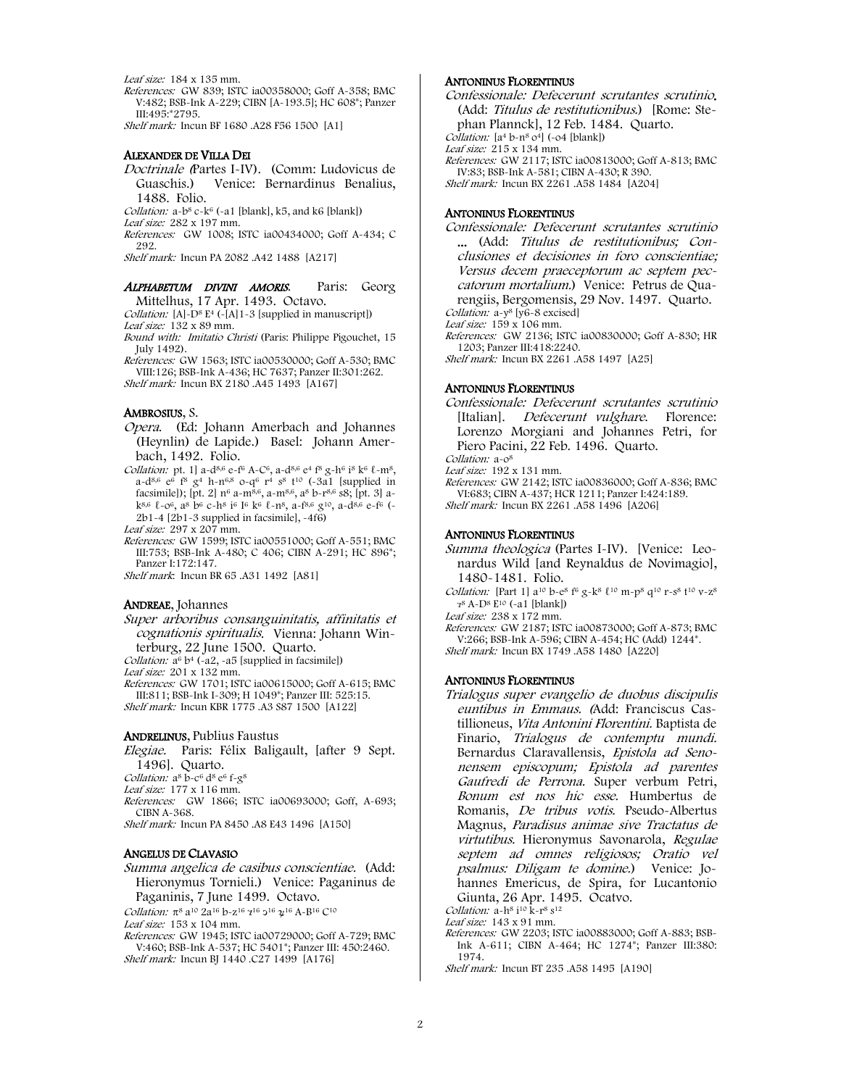Leaf size: 184 x 135 mm.

References: GW 839; ISTC ia00358000; Goff A-358; BMC V:482; BSB-Ink A-229; CIBN [A-193.5]; HC 608\*; Panzer III:495:\*2795.

Shelf mark: Incun BF 1680 .A28 F56 1500 [A1]

#### ALEXANDER DE VILLA DEI

Doctrinale (Partes I-IV). (Comm: Ludovicus de Guaschis.) Venice: Bernardinus Benalius, 1488. Folio.

Collation:  $a-b^8 c-k^6$  (-a1 [blank], k5, and k6 [blank])

Leaf size: 282 x 197 mm. References: GW 1008; ISTC ia00434000; Goff A-434; C

292.

Shelf mark: Incun PA 2082 .A42 1488 [A217]

#### ALPHABETUM DIVINI AMORIS. Paris: Georg Mittelhus, 17 Apr. 1493. Octavo.

*Collation:* [A]- $D^8$  E<sup>4</sup> (-[A]1-3 [supplied in manuscript]) Leaf size: 132 x 89 mm.

Bound with: Imitatio Christi (Paris: Philippe Pigouchet, 15 July 1492).

References: GW 1563; ISTC ia00530000; Goff A-530; BMC VIII:126; BSB-Ink A-436; HC 7637; Panzer II:301:262. Shelf mark: Incun BX 2180 .A45 1493 [A167]

#### AMBROSIUS, S.

Opera. (Ed: Johann Amerbach and Johannes (Heynlin) de Lapide.) Basel: Johann Amerbach, 1492. Folio.

Collation: pt. 1] a-d<sup>8,6</sup> e-f<sup>6</sup> A-C<sup>6</sup>, a-d<sup>8,6</sup> e<sup>4</sup> f<sup>8</sup> g-h<sup>6</sup> i<sup>8</sup> k<sup>6</sup>  $\ell$ -m<sup>8</sup>, a-d<sup>8,6</sup> e<sup>6</sup> f<sup>8</sup>  $g^4$  h-n<sup>6,8</sup> o-q<sup>6</sup> r<sup>4</sup> s<sup>8</sup> t<sup>10</sup> (-3a1 [supplied in facsimile]); [pt. 2] n6 a-m8,6, a-m8,6, a8 b-r8,6 s8; [pt. 3] ak8,6 ℓ-o6, a8 b6 c-h8 i6 I6 k6 ℓ-n8, a-f8,6 g10, a-d8,6 e-f6 (- 2b1-4 [2b1-3 supplied in facsimile], -4f6)

Leaf size: 297 x 207 mm.

References: GW 1599; ISTC ia00551000; Goff A-551; BMC III:753; BSB-Ink A-480; C 406; CIBN A-291; HC 896\*; Panzer I:172:147.

Shelf mark: Incun BR 65 .A31 1492 [A81]

#### ANDREAE, Johannes

Super arboribus consanguinitatis, affinitatis et cognationis spiritualis. Vienna: Johann Winterburg, 22 June 1500. Quarto.

Collation:  $a^6 b^4$  (-a2, -a5 [supplied in facsimile])

Leaf size: 201 x 132 mm.

References: GW 1701; ISTC ia00615000; Goff A-615; BMC III:811; BSB-Ink I-309; H 1049\*; Panzer III: 525:15. Shelf mark: Incun KBR 1775 .A3 S87 1500 [A122]

#### ANDRELINUS, Publius Faustus

Elegiae. Paris: Félix Baligault, [after 9 Sept. 1496]. Quarto.

Collation: a<sup>8</sup> b-c<sup>6</sup> d<sup>8</sup> e<sup>6</sup> f-g<sup>8</sup> Leaf size: 177 x 116 mm.

References: GW 1866; ISTC ia00693000; Goff, A-693; CIBN A-368. Shelf mark: Incun PA 8450 .A8 E43 1496 [A150]

#### ANGELUS DE CLAVASIO

Summa angelica de casibus conscientiae. (Add: Hieronymus Tornieli.) Venice: Paganinus de Paganinis, 7 June 1499. Octavo.

Collation:  $π$ <sup>8</sup> a<sup>10</sup> 2a<sup>16</sup> b-z<sup>16</sup>  $2^{16}$   $2^{16}$   $2^{16}$   $4^{\cdot8}$  A-B<sup>16</sup> C<sup>10</sup> Leaf size: 153 x 104 mm.

References: GW 1945; ISTC ia00729000; Goff A-729; BMC V:460; BSB-Ink A-537; HC 5401\*; Panzer III: 450:2460. Shelf mark: Incun BJ 1440 .C27 1499 [A176]

### ANTONINUS FLORENTINUS

Confessionale: Defecerunt scrutantes scrutinio. (Add: Titulus de restitutionibus.) [Rome: Stephan Plannck], 12 Feb. 1484. Quarto. Collation:  $[a<sup>4</sup> b<sub>1</sub>^8 o<sup>4</sup>] (-o<sup>4</sup> [blank])$ Leaf size: 215 x 134 mm. References: GW 2117; ISTC ia00813000; Goff A-813; BMC IV:83; BSB-Ink A-581; CIBN A-430; R 390. Shelf mark: Incun BX 2261 .A58 1484 [A204]

#### ANTONINUS FLORENTINUS

Confessionale: Defecerunt scrutantes scrutinio ... (Add: Titulus de restitutionibus; Conclusiones et decisiones in foro conscientiae; Versus decem praeceptorum ac septem peccatorum mortalium.) Venice: Petrus de Quarengiis, Bergomensis, 29 Nov. 1497. Quarto. Collation: a-y8 [y6-8 excised]

Leaf size: 159 x 106 mm.

References: GW 2136; ISTC ia00830000; Goff A-830; HR 1203; Panzer III:418:2240.

Shelf mark: Incun BX 2261 .A58 1497 [A25]

#### ANTONINUS FLORENTINUS

Confessionale: Defecerunt scrutantes scrutinio [Italian]. Defecerunt vulghare. Florence: Lorenzo Morgiani and Johannes Petri, for Piero Pacini, 22 Feb. 1496. Quarto.

Collation: a-o<sup>8</sup>

Leaf size: 192 x 131 mm.

References: GW 2142; ISTC ia00836000; Goff A-836; BMC VI:683; CIBN A-437; HCR 1211; Panzer I:424:189. Shelf mark: Incun BX 2261 .A58 1496 [A206]

#### ANTONINUS FLORENTINUS

Summa theologica (Partes I-IV). [Venice: Leonardus Wild [and Reynaldus de Novimagio], 1480-1481. Folio.

Collation: [Part 1] a<sup>10</sup> b-e<sup>8</sup> f<sup>6</sup> g-k<sup>8</sup>  $\ell$ <sup>10</sup> m-p<sup>8</sup> q<sup>10</sup> r-s<sup>8</sup> t<sup>10</sup> v-z<sup>8</sup> ⁊<sup>8</sup> A-D8 E10 (-a1 [blank])

Leaf size: 238 x 172 mm.

References: GW 2187; ISTC ia00873000; Goff A-873; BMC V:266; BSB-Ink A-596; CIBN A-454; HC (Add) 1244\*. Shelf mark: Incun BX 1749 .A58 1480 [A220]

#### ANTONINUS FLORENTINUS

Trialogus super evangelio de duobus discipulis euntibus in Emmaus. (Add: Franciscus Castillioneus, Vita Antonini Florentini. Baptista de Finario, Trialogus de contemptu mundi. Bernardus Claravallensis, Epistola ad Senonensem episcopum; Epistola ad parentes Gaufredi de Perrona. Super verbum Petri, Bonum est nos hic esse. Humbertus de Romanis, De tribus votis. Pseudo-Albertus Magnus, Paradisus animae sive Tractatus de virtutibus. Hieronymus Savonarola, Regulae septem ad omnes religiosos; Oratio vel psalmus: Diligam te domine.) Venice: Johannes Emericus, de Spira, for Lucantonio Giunta, 26 Apr. 1495. Ocatvo.

Collation:  $a-h^8$  i<sup>10</sup>  $k-r^8$  s<sup>12</sup>

Leaf size: 143 x 91 mm.

References: GW 2203; ISTC ia00883000; Goff A-883; BSB-Ink A-611; CIBN A-464; HC 1274\*; Panzer III:380: 1974.

Shelf mark: Incun BT 235 .A58 1495 [A190]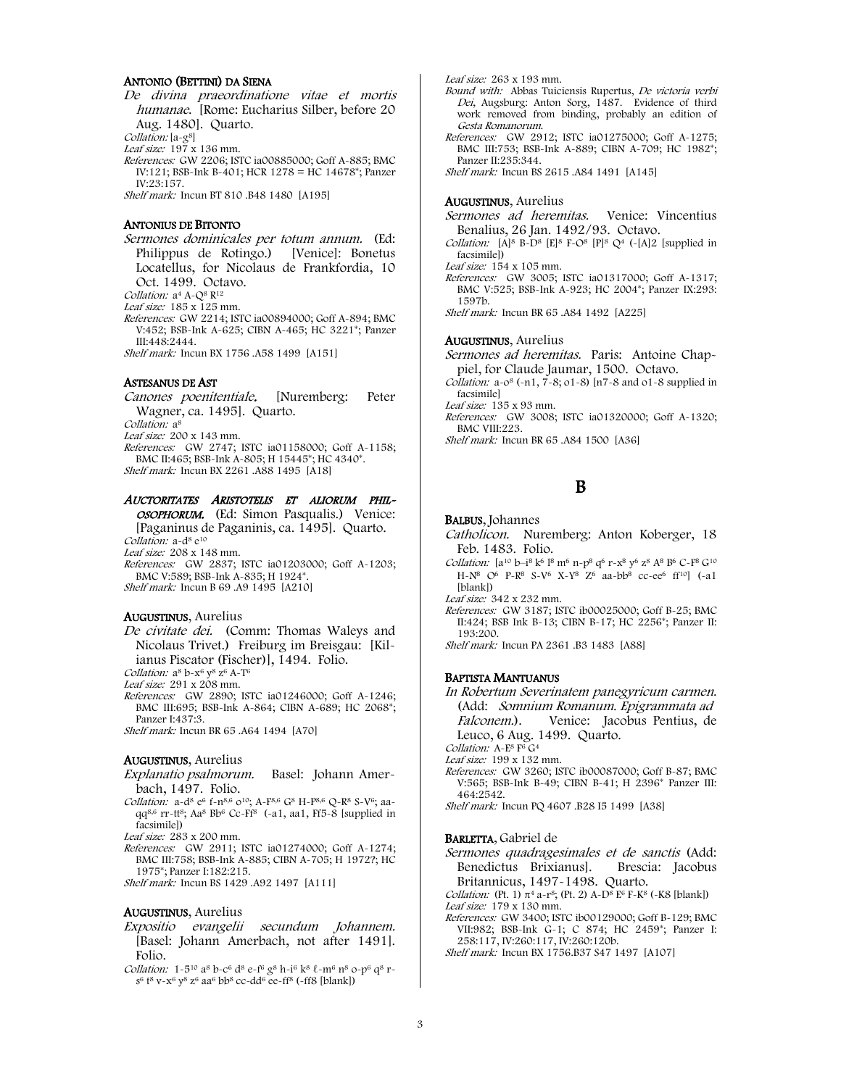#### ANTONIO (BETTINI) DA SIENA

De divina praeordinatione vitae et mortis humanae. [Rome: Eucharius Silber, before 20 Aug. 1480]. Quarto.

Collation: [a-g<sup>8]</sup>

Leaf size: 197 x 136 mm.

References: GW 2206; ISTC ia00885000; Goff A-885; BMC IV:121; BSB-Ink B-401; HCR 1278 = HC 14678\*; Panzer IV:23:157.

Shelf mark: Incun BT 810 .B48 1480 [A195]

#### ANTONIUS DE BITONTO

- Sermones dominicales per totum annum. (Ed: Philippus de Rotingo.) [Venice]: Bonetus Locatellus, for Nicolaus de Frankfordia, 10
- Oct. 1499. Octavo. Collation: a<sup>4</sup> A-Q<sup>8</sup> R<sup>12</sup>

Leaf size: 185 x 125 mm.

References: GW 2214; ISTC ia00894000; Goff A-894; BMC V:452; BSB-Ink A-625; CIBN A-465; HC 3221\*; Panzer III:448:2444.

Shelf mark: Incun BX 1756 .A58 1499 [A151]

#### ASTESANUS DE AST

Canones poenitentiale. [Nuremberg: Peter Wagner, ca. 1495]. Quarto.

Collation: a<sup>8</sup> Leaf size: 200 x 143 mm.

References: GW 2747; ISTC ia01158000; Goff A-1158;

BMC II:465; BSB-Ink A-805; H 15445\*; HC 4340\*. Shelf mark: Incun BX 2261 .A88 1495 [A18]

#### AUCTORITATES ARISTOTELIS ET ALIORUM PHIL-

OSOPHORUM. (Ed: Simon Pasqualis.) Venice: [Paganinus de Paganinis, ca. 1495]. Quarto.

Collation: a-d<sup>8</sup> e<sup>10</sup>

Leaf size: 208 x 148 mm.

References: GW 2837; ISTC ia01203000; Goff A-1203; BMC V:589; BSB-Ink A-835; H 1924\*. Shelf mark: Incun B 69 .A9 1495 [A210]

#### AUGUSTINUS, Aurelius

De civitate dei. (Comm: Thomas Waleys and Nicolaus Trivet.) Freiburg im Breisgau: [Kilianus Piscator (Fischer)], 1494. Folio.

Collation:  $a^8 b - x^6 y^8 z^6 A - T^6$ Leaf size: 291 x 208 mm.

- References: GW 2890; ISTC ia01246000; Goff A-1246; BMC III:695; BSB-Ink A-864; CIBN A-689; HC 2068\*;
- Panzer I:437:3. Shelf mark: Incun BR 65 .A64 1494 [A70]

#### AUGUSTINUS, Aurelius

- Explanatio psalmorum. Basel: Johann Amerbach, 1497. Folio.
- Collation: a-d<sup>8</sup> e<sup>6</sup> f-n<sup>8,6</sup> 0<sup>10</sup>; A-F<sup>8,6</sup> G<sup>8</sup> H-P<sup>8,6</sup> O-R<sup>8</sup> S-V<sup>6</sup>; aaqq8,6 rr-tt8; Aa8 Bb6 Cc-Ff8 (-a1, aa1, Ff5-8 [supplied in facsimile])

Leaf size: 283 x 200 mm.

- References: GW 2911; ISTC ia01274000; Goff A-1274; BMC III:758; BSB-Ink A-885; CIBN A-705; H 1972?; HC 1975\*; Panzer I:182:215.
- Shelf mark: Incun BS 1429 .A92 1497 [A111]

#### AUGUSTINUS, Aurelius

- Expositio evangelii secundum Johannem. [Basel: Johann Amerbach, not after 1491]. Folio.
- Collation: 1-5<sup>10</sup> a<sup>8</sup> b-c<sup>6</sup> d<sup>8</sup> e-f<sup>6</sup> g<sup>8</sup> h-i<sup>6</sup> k<sup>8</sup> l-m<sup>6</sup> n<sup>8</sup> o-p<sup>6</sup> q<sup>8</sup> rs6 t8 v-x6 y8 z6 aa6 bb8 cc-dd6 ee-ff8 (-ff8 [blank])

Leaf size: 263 x 193 mm.

- Bound with: Abbas Tuiciensis Rupertus, De victoria verbi Dei, Augsburg: Anton Sorg, 1487. Evidence of third work removed from binding, probably an edition of Gesta Romanorum.
- References: GW 2912; ISTC ia01275000; Goff A-1275; BMC III:753; BSB-Ink A-889; CIBN A-709; HC 1982\*; Panzer II:235:344.

Shelf mark: Incun BS 2615 .A84 1491 [A145]

#### AUGUSTINUS, Aurelius

Sermones ad heremitas. Venice: Vincentius Benalius, 26 Jan. 1492/93. Octavo.

Collation:  $[A]^8$  B-D<sup>8</sup> [E]<sup>8</sup> F-O<sup>8</sup> [P]<sup>8</sup> Q<sup>4</sup> (-[A]2 [supplied in facsimile])

Leaf size: 154 x 105 mm. References: GW 3005; ISTC ia01317000; Goff A-1317; BMC V:525; BSB-Ink A-923; HC 2004\*; Panzer IX:293: 1597b.

Shelf mark: Incun BR 65 .A84 1492 [A225]

#### AUGUSTINUS, Aurelius

Sermones ad heremitas. Paris: Antoine Chappiel, for Claude Jaumar, 1500. Octavo.

Collation:  $a - 0^8$  (-n1,  $7 - 8$ ;  $01 - 8$ ) [n7-8 and  $01 - 8$  supplied in facsimile]

- Leaf size: 135 x 93 mm.
- References: GW 3008; ISTC ia01320000; Goff A-1320; BMC VIII:223.

Shelf mark: Incun BR 65 .A84 1500 [A36]

## B

#### BALBUS, Johannes

Catholicon. Nuremberg: Anton Koberger, 18 Feb. 1483. Folio.

Collation: [ $a^{10}$   $b^{-18}$   $k^6$   $l^8$   $m^6$   $n-p^8$   $q^6$   $r-x^8$   $y^6$   $z^8$   $A^8$   $B^6$   $C-F^8$   $G^{10}$ H-N<sup>8</sup> O<sup>6</sup> P-R<sup>8</sup> S-V<sup>6</sup> X-Y<sup>8</sup> Z<sup>6</sup> aa-bb<sup>8</sup> cc-ee<sup>6</sup> ff<sup>10</sup>] (-a1 [blank])

Leaf size: 342 x 232 mm.

References: GW 3187; ISTC ib00025000; Goff B-25; BMC II:424; BSB Ink B-13; CIBN B-17; HC 2256\*; Panzer II: 193:200.

Shelf mark: Incun PA 2361 .B3 1483 [A88]

#### BAPTISTA MANTUANUS

In Robertum Severinatem panegyricum carmen. (Add: Somnium Romanum. Epigrammata ad Falconem.). Venice: Jacobus Pentius, de Leuco, 6 Aug. 1499. Quarto.

Collation: A-E<sup>8</sup> F<sup>6</sup> G<sup>4</sup>

- Leaf size: 199 x 132 mm.
- References: GW 3260; ISTC ib00087000; Goff B-87; BMC V:565; BSB-Ink B-49; CIBN B-41; H 2396\* Panzer III: 464:2542.
- Shelf mark: Incun PQ 4607 .B28 I5 1499 [A38]

#### BARLETTA, Gabriel de

Sermones quadragesimales et de sanctis (Add: Benedictus Brixianus]. Brescia: Jacobus Britannicus, 1497-1498. Quarto.

Collation: (Pt. 1)  $\pi^4$  a-r<sup>8</sup>; (Pt. 2) A-D<sup>8</sup> E<sup>6</sup> F-K<sup>8</sup> (-K8 [blank]) Leaf size: 179 x 130 mm.

- References: GW 3400; ISTC ib00129000; Goff B-129; BMC VII:982; BSB-Ink G-1; C 874; HC 2459\*; Panzer I: 258:117, IV:260:117, IV:260:120b.
- Shelf mark: Incun BX 1756.B37 S47 1497 [A107]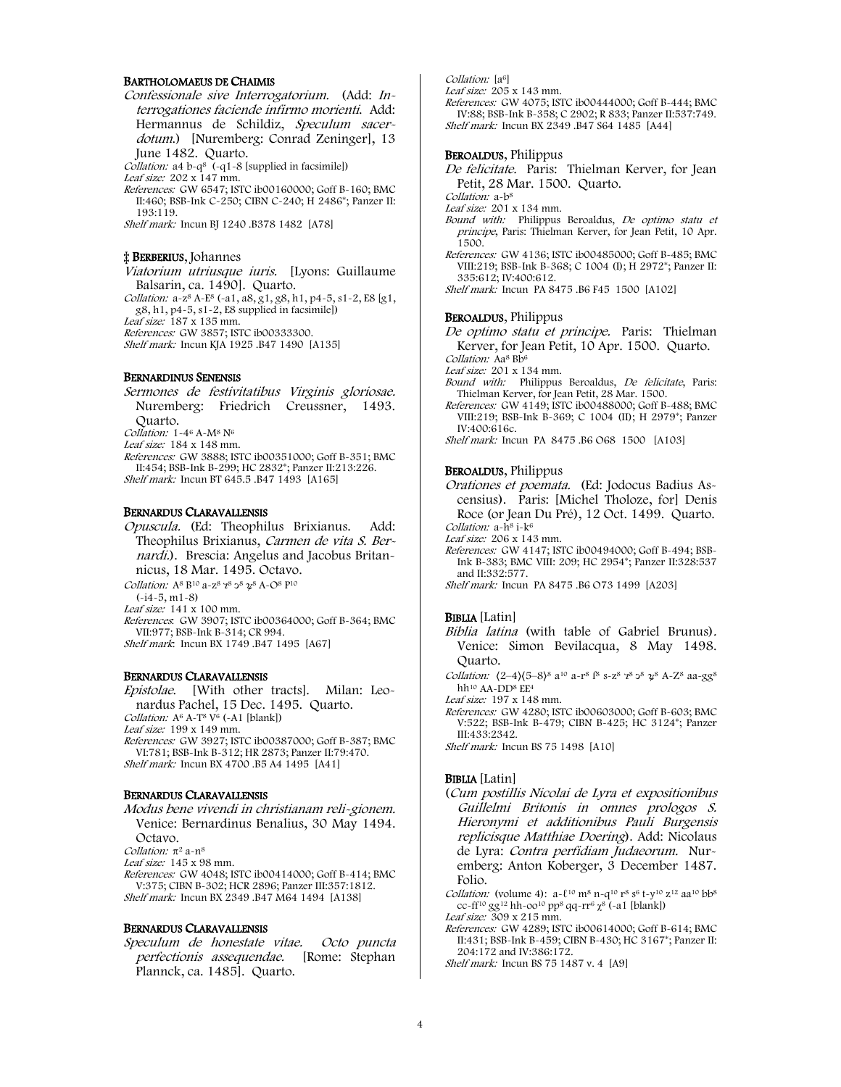#### BARTHOLOMAEUS DE CHAIMIS

Confessionale sive Interrogatorium. (Add: Interrogationes faciende infirmo morienti. Add: Hermannus de Schildiz, Speculum sacerdotum.) [Nuremberg: Conrad Zeninger], 13 June 1482. Quarto.

Collation: a4 b-q<sup>8</sup> (-q1-8 [supplied in facsimile])

Leaf size:  $202 \times 147$  mm.

References: GW 6547; ISTC ib00160000; Goff B-160; BMC II:460; BSB-Ink C-250; CIBN C-240; H 2486\*; Panzer II: 193:119.

Shelf mark: Incun BJ 1240 .B378 1482 [A78]

#### ‡ BERBERIUS, Johannes

Viatorium utriusque iuris. [Lyons: Guillaume Balsarin, ca. 1490]. Quarto.

Collation:  $a - z^8 A - E^8$  (-a1,  $a8, g1, g8, h1, p4-5, s1-2, E8 [g1,$ g8, h1, p4-5, s1-2, E8 supplied in facsimile])

Leaf size: 187 x 135 mm.

References: GW 3857; ISTC ib00333300.

Shelf mark: Incun KJA 1925 .B47 1490 [A135]

#### BERNARDINUS SENENSIS

Sermones de festivitatibus Virginis gloriosae. Nuremberg: Friedrich Creussner, 1493. Quarto. Collation: 1-46 A-M8 N6 Leaf size: 184 x 148 mm.

References: GW 3888; ISTC ib00351000; Goff B-351; BMC II:454; BSB-Ink B-299; HC 2832\*; Panzer II:213:226. Shelf mark: Incun BT 645.5 .B47 1493 [A165]

#### BERNARDUS CLARAVALLENSIS

Opuscula. (Ed: Theophilus Brixianus. Add: Theophilus Brixianus, Carmen de vita S. Bernardi.). Brescia: Angelus and Jacobus Britannicus, 18 Mar. 1495. Octavo.

Collation:  $A^8 B^{10}$  a-z<sup>8</sup>  $7^8$   $3^8$   $2^8$   $A$ - $O^8$   $P^{10}$ 

(-i4-5, m1-8)

Leaf size: 141 x 100 mm.

References: GW 3907; ISTC ib00364000; Goff B-364; BMC VII:977; BSB-Ink B-314; CR 994. Shelf mark: Incun BX 1749 .B47 1495 [A67]

#### BERNARDUS CLARAVALLENSIS

Epistolae. [With other tracts]. Milan: Leonardus Pachel, 15 Dec. 1495. Quarto.

Collation:  $A^6$  A-T<sup>8</sup> V<sup>6</sup> (-A1 [blank])

Leaf size: 199 x 149 mm.

References: GW 3927; ISTC ib00387000; Goff B-387; BMC VI:781; BSB-Ink B-312; HR 2873; Panzer II:79:470. Shelf mark: Incun BX 4700 .B5 A4 1495 [A41]

#### BERNARDUS CLARAVALLENSIS

Modus bene vivendi in christianam reli-gionem. Venice: Bernardinus Benalius, 30 May 1494. Octavo.

Collation:  $π²$  a-n<sup>8</sup>

Leaf size: 145 x 98 mm.

References: GW 4048; ISTC ib00414000; Goff B-414; BMC V:375; CIBN B-302; HCR 2896; Panzer III:357:1812. Shelf mark: Incun BX 2349 .B47 M64 1494 [A138]

#### BERNARDUS CLARAVALLENSIS

Speculum de honestate vitae. Octo puncta perfectionis assequendae. [Rome: Stephan Plannck, ca. 1485]. Quarto.

Collation: [a<sup>6]</sup>

Leaf size: 205 x 143 mm.

References: GW 4075; ISTC ib00444000; Goff B-444; BMC IV:88; BSB-Ink B-358; C 2902; R 833; Panzer II:537:749. Shelf mark: Incun BX 2349 .B47 S64 1485 [A44]

#### BEROALDUS, Philippus

- De felicitate. Paris: Thielman Kerver, for Jean Petit, 28 Mar. 1500. Quarto.
- Collation: a-b<sup>8</sup>

Leaf size: 201 x 134 mm.

- Bound with: Philippus Beroaldus, De optimo statu et principe, Paris: Thielman Kerver, for Jean Petit, 10 Apr. 1500.
- References: GW 4136; ISTC ib00485000; Goff B-485; BMC VIII:219; BSB-Ink B-368; C 1004 (I); H 2972\*; Panzer II: 335:612; IV:400:612.

Shelf mark: Incun PA 8475 .B6 F45 1500 [A102]

#### BEROALDUS, Philippus

De optimo statu et principe. Paris: Thielman Kerver, for Jean Petit, 10 Apr. 1500. Quarto. Collation: Aa<sup>8</sup> Bb<sup>6</sup>

Leaf size: 201 x 134 mm.

- Bound with: Philippus Beroaldus, De felicitate, Paris: Thielman Kerver, for Jean Petit, 28 Mar. 1500.
- References: GW 4149; ISTC ib00488000; Goff B-488; BMC VIII:219; BSB-Ink B-369; C 1004 (II); H 2979\*; Panzer IV:400:616c.

Shelf mark: Incun PA 8475 .B6 O68 1500 [A103]

#### BEROALDUS, Philippus

Orationes et poemata. (Ed: Jodocus Badius Ascensius). Paris: [Michel Tholoze, for] Denis Roce (or Jean Du Pré), 12 Oct. 1499. Quarto. Collation: a-h<sup>8</sup> i-k<sup>6</sup>

Leaf size: 206 x 143 mm.

- References: GW 4147; ISTC ib00494000; Goff B-494; BSB-Ink B-383; BMC VIII: 209; HC 2954\*; Panzer II:328:537 and II:332:577.
- Shelf mark: Incun PA 8475 .B6 O73 1499 [A203]

#### BIBLIA [Latin]

- Biblia latina (with table of Gabriel Brunus). Venice: Simon Bevilacqua, 8 May 1498. Quarto.
- Collation:  $(2-4)(5-8)^8$  a<sup>10</sup> a-r<sup>8</sup>  $[8$  s-z<sup>8</sup>  $7^8$   $3^8$   $2^8$  A-Z<sup>8</sup> aa-gg<sup>8</sup> hh<sup>10</sup> AA-DD<sup>8</sup> EE<sup>4</sup>

Leaf size: 197 x 148 mm.

References: GW 4280; ISTC ib00603000; Goff B-603; BMC V:522; BSB-Ink B-479; CIBN B-425; HC 3124\*; Panzer III:433:2342.

Shelf mark: Incun BS 75 1498 [A10]

#### BIBLIA [Latin]

(Cum postillis Nicolai de Lyra et expositionibus Guillelmi Britonis in omnes prologos S. Hieronymi et additionibus Pauli Burgensis replicisque Matthiae Doering). Add: Nicolaus de Lyra: Contra perfidiam Judaeorum. Nuremberg: Anton Koberger, 3 December 1487. Folio.

*Collation:* (volume 4):  $a - \ell^{10}$  m<sup>8</sup> n-q<sup>10</sup> r<sup>8</sup> s<sup>6</sup> t-y<sup>10</sup> z<sup>12</sup> aa<sup>10</sup> bb<sup>8</sup> cc-ff<sup>10</sup> gg<sup>12</sup> hh-oo<sup>10</sup> pp<sup>8</sup> qq-rr<sup>6</sup> χ<sup>8</sup> (-a1 [blank])

Leaf size:  $309 \times 215$  mm.

References: GW 4289; ISTC ib00614000; Goff B-614; BMC II:431; BSB-Ink B-459; CIBN B-430; HC 3167\*; Panzer II: 204:172 and IV:386:172.

Shelf mark: Incun BS 75 1487 v. 4 [A9]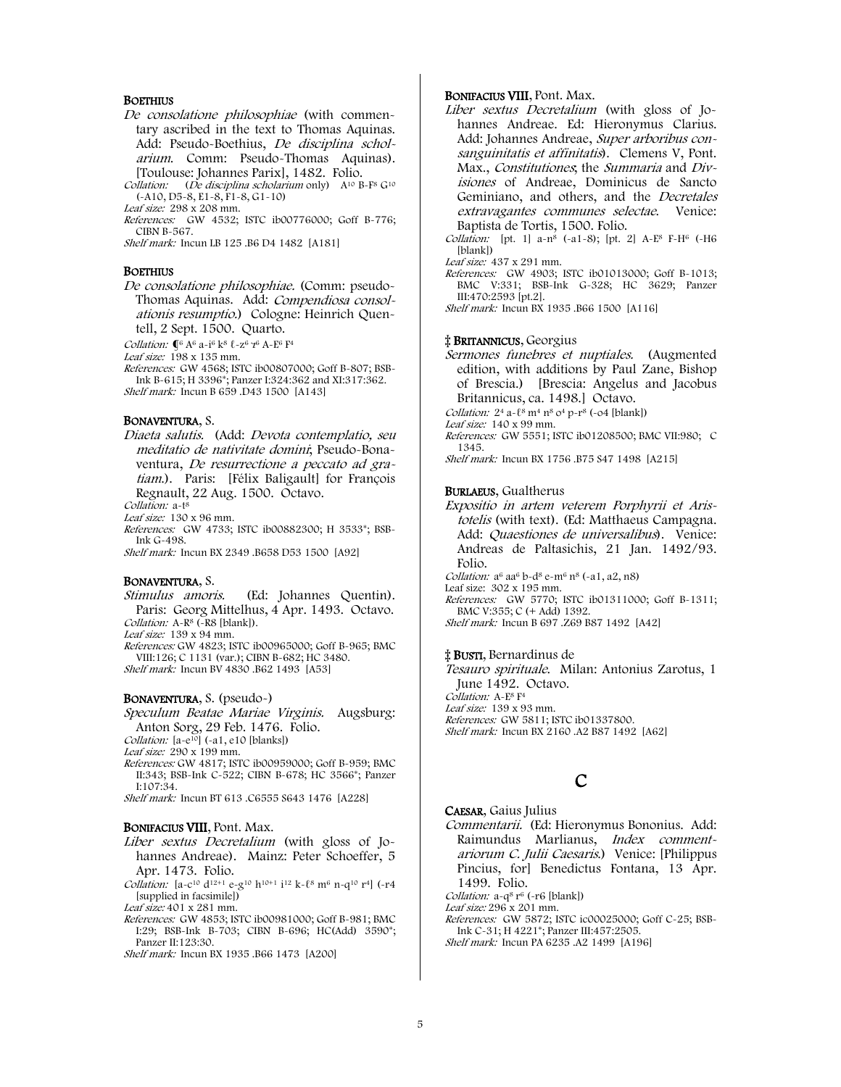#### **BOETHIUS**

- De consolatione philosophiae (with commentary ascribed in the text to Thomas Aquinas. Add: Pseudo-Boethius, De disciplina scholarium. Comm: Pseudo-Thomas Aquinas). [Toulouse: Johannes Parix], 1482. Folio.
- Collation: (De disciplina scholarium only) A<sup>10</sup> B-F<sup>8</sup> G<sup>10</sup> (-A10, D5-8, E1-8, F1-8, G1-10)
- Leaf size: 298 x 208 mm.
- References: GW 4532; ISTC ib00776000; Goff B-776; CIBN B-567.

Shelf mark: Incun LB 125 .B6 D4 1482 [A181]

#### **BOETHIUS**

- De consolatione philosophiae. (Comm: pseudo-Thomas Aquinas. Add: Compendiosa consolationis resumptio.) Cologne: Heinrich Quentell, 2 Sept. 1500. Quarto.
- Collation:  $\P^6$  A<sup>6</sup> a-i<sup>6</sup> k<sup>8</sup>  $\ell$ -z<sup>6</sup>  $\gamma^6$  A-E<sup>6</sup> F<sup>4</sup>

Leaf size:  $198 \times 135$  mm.

References: GW 4568; ISTC ib00807000; Goff B-807; BSB-Ink B-615; H 3396\*; Panzer I:324:362 and XI:317:362. Shelf mark: Incun B 659 .D43 1500 [A143]

#### BONAVENTURA, S.

Diaeta salutis. (Add: Devota contemplatio, seu meditatio de nativitate domini; Pseudo-Bonaventura, De resurrectione a peccato ad gratiam.). Paris: [Félix Baligault] for François Regnault, 22 Aug. 1500. Octavo.

Collation: a-t<sup>8</sup>

Leaf size: 130 x 96 mm.

- References: GW 4733; ISTC ib00882300; H 3533\*; BSB-Ink G-498.
- Shelf mark: Incun BX 2349 .B658 D53 1500 [A92]

#### BONAVENTURA, S.

Stimulus amoris. (Ed: Johannes Quentin). Paris: Georg Mittelhus, 4 Apr. 1493. Octavo. Collation:  $A-R^8$  ( $-R8$  [blank]).

Leaf size: 139 x 94 mm.

References: GW 4823; ISTC ib00965000; Goff B-965; BMC VIII:126; C 1131 (var.); CIBN B-682; HC 3480. Shelf mark: Incun BV 4830 .B62 1493 [A53]

#### BONAVENTURA, S. (pseudo-)

Speculum Beatae Mariae Virginis. Augsburg: Anton Sorg, 29 Feb. 1476. Folio.

Collation:  $[a-e^{10}]$  (-a1, e10 [blanks])

- Leaf size: 290 x 199 mm.
- References: GW 4817; ISTC ib00959000; Goff B-959; BMC II:343; BSB-Ink C-522; CIBN B-678; HC 3566\*; Panzer I:107:34.

Shelf mark: Incun BT 613 .C6555 S643 1476 [A228]

#### BONIFACIUS VIII, Pont. Max.

- Liber sextus Decretalium (with gloss of Johannes Andreae). Mainz: Peter Schoeffer, 5 Apr. 1473. Folio.
- Collation: [a-c<sup>10</sup> d<sup>12+1</sup> e-g<sup>10</sup> h<sup>10+1</sup> i<sup>12</sup> k- $\ell$ <sup>8</sup> m<sup>6</sup> n-q<sup>10</sup> r<sup>4</sup>] (-r4 [supplied in facsimile])

Leaf size: 401 x 281 mm.

- References: GW 4853; ISTC ib00981000; Goff B-981; BMC I:29; BSB-Ink B-703; CIBN B-696; HC(Add) 3590\*; Panzer II:123:30.
- Shelf mark: Incun BX 1935 .B66 1473 [A200]

#### BONIFACIUS VIII, Pont. Max.

- Liber sextus Decretalium (with gloss of Johannes Andreae. Ed: Hieronymus Clarius. Add: Johannes Andreae, Super arboribus consanguinitatis et affinitatis). Clemens V, Pont. Max., Constitutiones, the Summaria and Divisiones of Andreae, Dominicus de Sancto Geminiano, and others, and the Decretales extravagantes communes selectae. Venice: Baptista de Tortis, 1500. Folio.
- Collation: [pt. 1] a-n<sup>8</sup> (-a1-8); [pt. 2] A-E<sup>8</sup> F-H<sup>6</sup> (-H6 [blank])

Leaf size: 437 x 291 mm.

References: GW 4903; ISTC ib01013000; Goff B-1013; BMC V:331; BSB-Ink G-328; HC 3629; Panzer III:470:2593 [pt.2].

Shelf mark: Incun BX 1935 .B66 1500 [A116]

#### ‡ BRITANNICUS, Georgius

- Sermones funebres et nuptiales. (Augmented edition, with additions by Paul Zane, Bishop of Brescia.) [Brescia: Angelus and Jacobus Britannicus, ca. 1498.] Octavo. Collation:  $2^4$  a- $\ell^8$  m<sup>4</sup> n<sup>8</sup> o<sup>4</sup> p-r<sup>8</sup> (-o4 [blank]) Leaf size: 140 x 99 mm.
- References: GW 5551; ISTC ib01208500; BMC VII:980; C 1345. Shelf mark: Incun BX 1756 .B75 S47 1498 [A215]
- 

#### BURLAEUS, Gualtherus

Expositio in artem veterem Porphyrii et Aristotelis (with text). (Ed: Matthaeus Campagna. Add: Quaestiones de universalibus). Venice: Andreas de Paltasichis, 21 Jan. 1492/93. Folio. Collation:  $a^6$  a $a^6$  b-d $^8$  e-m $^6$  n $^8$  (-a1, a2, n $8$ ) Leaf size: 302 x 195 mm.

References: GW 5770; ISTC ib01311000; Goff B-1311; BMC V:355; C (+ Add) 1392. Shelf mark: Incun B 697 .Z69 B87 1492 [A42]

#### ‡ BUSTI, Bernardinus de

Tesauro spirituale. Milan: Antonius Zarotus, 1 June 1492. Octavo. Collation: A-E<sup>8</sup> F<sup>4</sup> Leaf size: 139 x 93 mm. References: GW 5811; ISTC ib01337800. Shelf mark: Incun BX 2160 .A2 B87 1492 [A62]

# C

#### CAESAR, Gaius Julius Commentarii. (Ed: Hieronymus Bononius. Add: Raimundus Marlianus, Index commentariorum C. Julii Caesaris.) Venice: [Philippus Pincius, for] Benedictus Fontana, 13 Apr.

1499. Folio. Collation:  $a-q^8 r^6$  (~ $r6$  [blank])

Leaf size: 296 x 201 mm.

References: GW 5872; ISTC ic00025000; Goff C-25; BSB-Ink C-31; H 4221\*; Panzer III:457:2505.

Shelf mark: Incun PA 6235 .A2 1499 [A196]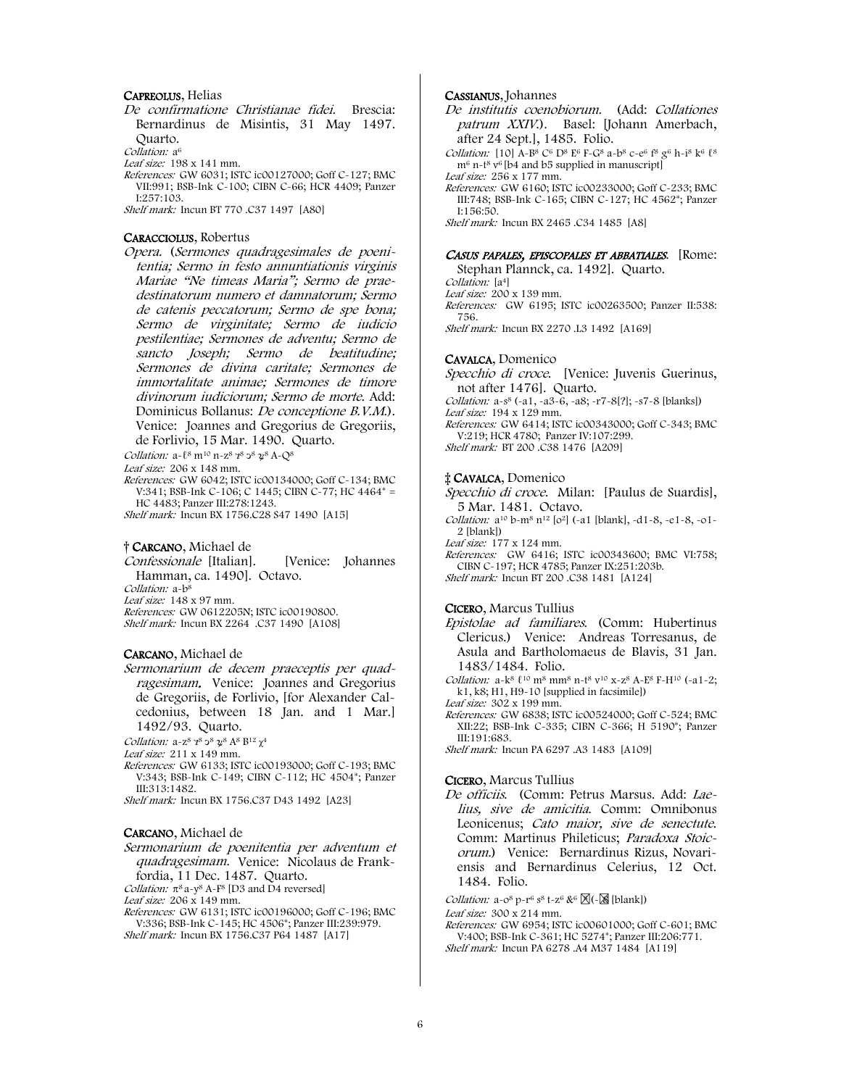#### CAPREOLUS, Helias

De confirmatione Christianae fidei. Brescia: Bernardinus de Misintis, 31 May 1497. Quarto.

Collation: a<sup>6</sup>

Leaf size: 198 x 141 mm.

References: GW 6031; ISTC ic00127000; Goff C-127; BMC VII:991; BSB-Ink C-100; CIBN C-66; HCR 4409; Panzer I:257:103.

Shelf mark: Incun BT 770 .C37 1497 [A80]

#### CARACCIOLUS, Robertus

Opera. (Sermones quadragesimales de poenitentia; Sermo in festo annuntiationis virginis Mariae "Ne timeas Maria"; Sermo de praedestinatorum numero et damnatorum; Sermo de catenis peccatorum; Sermo de spe bona; Sermo de virginitate; Sermo de iudicio pestilentiae; Sermones de adventu; Sermo de sancto Joseph; Sermo de beatitudine; Sermones de divina caritate; Sermones de immortalitate animae; Sermones de timore divinorum iudiciorum; Sermo de morte. Add: Dominicus Bollanus: De conceptione B.V.M.). Venice: Joannes and Gregorius de Gregoriis, de Forlivio, 15 Mar. 1490. Quarto.

Collation:  $a-18 \text{ m}^{10} \text{ n}-z^8 \text{ z}^8 \text{ z}^8 \text{ }\text{28 A-Q^8}$ 

Leaf size: 206 x 148 mm.

References: GW 6042; ISTC ic00134000; Goff C-134; BMC V:341; BSB-Ink C-106; C 1445; CIBN C-77; HC 4464\* = HC 4483; Panzer III:278:1243.

Shelf mark: Incun BX 1756.C28 S47 1490 [A15]

#### † CARCANO, Michael de

Confessionale [Italian]. [Venice: Johannes Hamman, ca. 1490]. Octavo.

Collation: a-b<sup>8</sup>

Leaf size: 148 x 97 mm.

References: GW 0612205N; ISTC ic00190800. Shelf mark: Incun BX 2264 .C37 1490 [A108]

#### CARCANO, Michael de

Sermonarium de decem praeceptis per quadragesimam. Venice: Joannes and Gregorius de Gregoriis, de Forlivio, [for Alexander Calcedonius, between 18 Jan. and 1 Mar.] 1492/93. Quarto.

Collation:  $a-z^8$   $z^8$   $\frac{1}{2}$ <sup>8</sup>  $\frac{1}{2}$ <sup>8</sup>  $R^8$   $B^{12}$   $\chi^4$ 

Leaf size: 211 x 149 mm.

References: GW 6133; ISTC ic00193000; Goff C-193; BMC V:343; BSB-Ink C-149; CIBN C-112; HC 4504\*; Panzer III:313:1482.

Shelf mark: Incun BX 1756.C37 D43 1492 [A23]

#### CARCANO, Michael de

Sermonarium de poenitentia per adventum et quadragesimam. Venice: Nicolaus de Frankfordia, 11 Dec. 1487. Quarto.

Collation:  $\pi^8$  a-y<sup>8</sup> A-F<sup>8</sup> [D3 and D4 reversed]

Leaf size: 206 x 149 mm.

References: GW 6131; ISTC ic00196000; Goff C-196; BMC V:336; BSB-Ink C-145; HC 4506\*; Panzer III:239:979. Shelf mark: Incun BX 1756.C37 P64 1487 [A17]

#### CASSIANUS, Johannes

- De institutis coenobiorum. (Add: Collationes patrum XXIV.). Basel: [Johann Amerbach, after 24 Sept.], 1485. Folio.
- Collation: [10]  $A-B^8$  C<sup>6</sup> D<sup>8</sup> E<sup>6</sup> F-G<sup>8</sup> a-b<sup>8</sup> c-e<sup>6</sup> f<sup>8</sup> g<sup>6</sup> h-i<sup>8</sup> k<sup>6</sup>  $\ell^8$  $m<sup>6</sup>$  n-t<sup>8</sup> v<sup>6</sup> [b4 and b5 supplied in manuscript]

Leaf size: 256 x 177 mm. References: GW 6160; ISTC ic00233000; Goff C-233; BMC III:748; BSB-Ink C-165; CIBN C-127; HC 4562\*; Panzer I:156:50.

Shelf mark: Incun BX 2465 .C34 1485 [A8]

#### CASUS PAPALES, EPISCOPALES ET ABBATIALES. [Rome:

Stephan Plannck, ca. 1492]. Quarto.

Collation: [a4]

Leaf size: 200 x 139 mm.

References: GW 6195; ISTC ic00263500; Panzer II:538: 756.

Shelf mark: Incun BX 2270 .L3 1492 [A169]

#### CAVALCA, Domenico

Specchio di croce. [Venice: Juvenis Guerinus, not after 1476]. Quarto. Collation: a-s8 (-a1, -a3-6, -a8; -r7-8[?]; -s7-8 [blanks]) Leaf size: 194 x 129 mm. References: GW 6414; ISTC ic00343000; Goff C-343; BMC V:219; HCR 4780; Panzer IV:107:299. Shelf mark: BT 200 .C38 1476 [A209]

#### ‡ CAVALCA, Domenico

Specchio di croce. Milan: [Paulus de Suardis], 5 Mar. 1481. Octavo.

Collation: a10 b-m8 n12 [o2] (-a1 [blank], -d1-8, -e1-8, -o1- 2 [blank])

Leaf size: 177 x 124 mm. References: GW 6416; ISTC ic00343600; BMC VI:758; CIBN C-197; HCR 4785; Panzer IX:251:203b.

Shelf mark: Incun BT 200 .C38 1481 [A124]

#### CICERO, Marcus Tullius

Epistolae ad familiares. (Comm: Hubertinus Clericus.) Venice: Andreas Torresanus, de Asula and Bartholomaeus de Blavis, 31 Jan. 1483/1484. Folio.

Collation:  $a-k^8 \ell^{10}$  m<sup>8</sup> mm<sup>8</sup> n-t<sup>8</sup> v<sup>10</sup> x-z<sup>8</sup> A-E<sup>8</sup> F-H<sup>10</sup> (-a1-2; k1, k8; H1, H9-10 [supplied in facsimile])

Leaf size: 302 x 199 mm.

References: GW 6838; ISTC ic00524000; Goff C-524; BMC XII:22; BSB-Ink C-335; CIBN C-366; H 5190\*; Panzer III:191:683.

Shelf mark: Incun PA 6297 .A3 1483 [A109]

#### CICERO, Marcus Tullius

De officiis. (Comm: Petrus Marsus. Add: Laelius, sive de amicitia. Comm: Omnibonus Leonicenus; Cato maior, sive de senectute. Comm: Martinus Phileticus; Paradoxa Stoicorum.) Venice: Bernardinus Rizus, Novariensis and Bernardinus Celerius, 12 Oct. 1484. Folio.

Collation:  $a - 0^8 p - r^6 s^8 t - z^6 \otimes \mathbb{R}(-\mathbb{X}^6$  [blank])

Leaf size: 300 x 214 mm.

References: GW 6954; ISTC ic00601000; Goff C-601; BMC V:400; BSB-Ink C-361; HC 5274\*; Panzer III:206:771. Shelf mark: Incun PA 6278 .A4 M37 1484 [A119]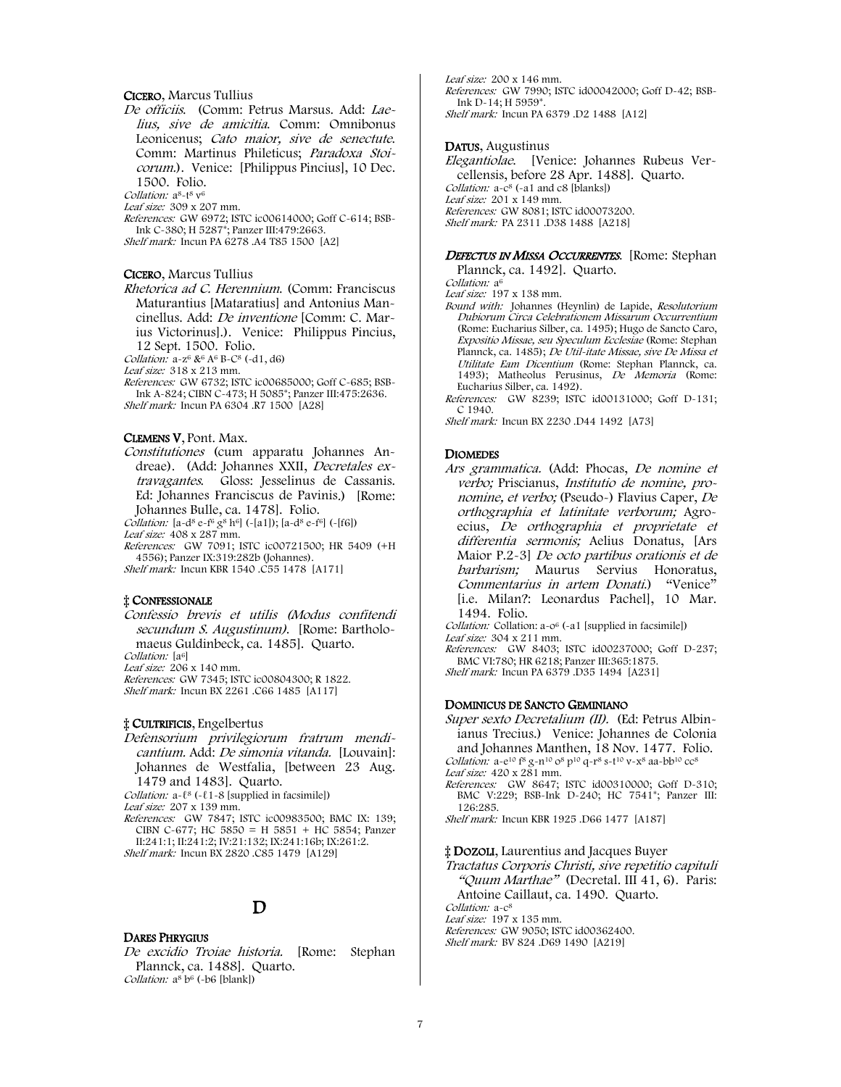### CICERO, Marcus Tullius

De officiis. (Comm: Petrus Marsus. Add: Laelius, sive de amicitia. Comm: Omnibonus Leonicenus; Cato maior, sive de senectute. Comm: Martinus Phileticus; Paradoxa Stoicorum.). Venice: [Philippus Pincius], 10 Dec. 1500. Folio.

Collation: a<sup>8</sup>-t<sup>8</sup> v<sup>6</sup>

Leaf size: 309 x 207 mm.

References: GW 6972; ISTC ic00614000; Goff C-614; BSB-Ink C-380; H 5287\*; Panzer III:479:2663. Shelf mark: Incun PA 6278 .A4 T85 1500 [A2]

#### CICERO, Marcus Tullius

Rhetorica ad C. Herennium. (Comm: Franciscus Maturantius [Mataratius] and Antonius Mancinellus. Add: De inventione [Comm: C. Marius Victorinus].). Venice: Philippus Pincius, 12 Sept. 1500. Folio.

Collation:  $a-z^6$  &  $A^6$  B-C<sup>8</sup> (-d1, d6)

Leaf size: 318 x 213 mm.

References: GW 6732; ISTC ic00685000; Goff C-685; BSB-Ink A-824; CIBN C-473; H 5085\*; Panzer III:475:2636. Shelf mark: Incun PA 6304 .R7 1500 [A28]

#### CLEMENS V, Pont. Max.

Constitutiones (cum apparatu Johannes Andreae). (Add: Johannes XXII, Decretales extravagantes. Gloss: Jesselinus de Cassanis. Ed: Johannes Franciscus de Pavinis.) [Rome: Johannes Bulle, ca. 1478]. Folio.

Collation:  $[a-d^8 e-f^6 g^8 h^6]$  (-[a1]);  $[a-d^8 e-f^6]$  (-[f6]) Leaf size: 408 x 287 mm.

References: GW 7091; ISTC ic00721500; HR 5409 (+H 4556); Panzer IX:319:282b (Johannes).

Shelf mark: Incun KBR 1540 .C55 1478 [A171]

#### ‡ CONFESSIONALE

Confessio brevis et utilis (Modus confitendi secundum S. Augustinum). [Rome: Bartholomaeus Guldinbeck, ca. 1485]. Quarto.

Collation: [a<sup>6]</sup>

Leaf size:  $206 \times 140$  mm.

References: GW 7345; ISTC ic00804300; R 1822. Shelf mark: Incun BX 2261 .C66 1485 [A117]

#### ‡ CULTRIFICIS, Engelbertus

Defensorium privilegiorum fratrum mendicantium. Add: De simonia vitanda. [Louvain]: Johannes de Westfalia, [between 23 Aug. 1479 and 1483]. Quarto.

Collation:  $a-\ell^8$  (- $\ell$ 1-8 [supplied in facsimile])

Leaf size: 207 x 139 mm.

References: GW 7847; ISTC ic00983500; BMC IX: 139; CIBN C-677; HC 5850 = H 5851 + HC 5854; Panzer II:241:1; II:241:2; IV:21:132; IX:241:16b; IX:261:2. Shelf mark: Incun BX 2820 .C85 1479 [A129]

# D

#### DARES PHRYGIUS

De excidio Troiae historia. [Rome: Stephan Plannck, ca. 1488]. Quarto. Collation:  $a^8 b^6$  (-b6 [blank])

Leaf size: 200 x 146 mm. References: GW 7990; ISTC id00042000; Goff D-42; BSB-Ink D-14; H 5959\*. Shelf mark: Incun PA 6379 .D2 1488 [A12]

#### DATUS, Augustinus

Elegantiolae. [Venice: Johannes Rubeus Vercellensis, before 28 Apr. 1488]. Quarto. Collation:  $a - c^8$  (-a1 and c8 [blanks]) Leaf size: 201 x 149 mm. References: GW 8081; ISTC id00073200. Shelf mark: PA 2311 .D38 1488 [A218]

#### DEFECTUS IN MISSA OCCURRENTES. [Rome: Stephan

Plannck, ca. 1492]. Quarto.

Collation: a<sup>6</sup> Leaf size: 197 x 138 mm.

Bound with: Johannes (Heynlin) de Lapide, Resolutorium Dubiorum Circa Celebrationem Missarum Occurrentium (Rome: Eucharius Silber, ca. 1495); Hugo de Sancto Caro, Expositio Missae, seu Speculum Ecclesiae (Rome: Stephan Plannck, ca. 1485); De Util-itate Missae, sive De Missa et Utilitate Eam Dicentium (Rome: Stephan Plannck, ca. 1493); Matheolus Perusinus, De Memoria (Rome: Eucharius Silber, ca. 1492).

References: GW 8239; ISTC id00131000; Goff D-131; C 1940.

Shelf mark: Incun BX 2230 .D44 1492 [A73]

#### DIOMEDES

Ars grammatica. (Add: Phocas, De nomine et verbo; Priscianus, Institutio de nomine, pronomine, et verbo; (Pseudo-) Flavius Caper, De orthographia et latinitate verborum; Agroecius, De orthographia et proprietate et differentia sermonis; Aelius Donatus, [Ars Maior P.2-3] De octo partibus orationis et de barbarism; Maurus Servius Honoratus, Commentarius in artem Donati.) "Venice" [i.e. Milan?: Leonardus Pachel], 10 Mar. 1494. Folio.

Collation: Collation: a-0<sup>6</sup> (-a1 [supplied in facsimile]) Leaf size: 304 x 211 mm.

References: GW 8403; ISTC id00237000; Goff D-237; BMC VI:780; HR 6218; Panzer III:365:1875. Shelf mark: Incun PA 6379 .D35 1494 [A231]

#### DOMINICUS DE SANCTO GEMINIANO

Super sexto Decretalium (II). (Ed: Petrus Albinianus Trecius.) Venice: Johannes de Colonia and Johannes Manthen, 18 Nov. 1477. Folio. Collation: a-e<sup>10</sup> f<sup>8</sup> g-n<sup>10</sup> o<sup>8</sup> p<sup>10</sup> q-r<sup>8</sup> s-t<sup>10</sup> v-x<sup>8</sup> aa-bb<sup>10</sup> cc<sup>8</sup> Leaf size: 420 x 281 mm. References: GW 8647; ISTC id00310000; Goff D-310; BMC V:229; BSB-Ink D-240; HC 7541\*; Panzer III: 126:285. Shelf mark: Incun KBR 1925 .D66 1477 [A187]

‡ DOZOLI, Laurentius and Jacques Buyer

Tractatus Corporis Christi, sive repetitio capituli "Quum Marthae" (Decretal. III 41, 6). Paris: Antoine Caillaut, ca. 1490. Quarto. Collation: a-c<sup>8</sup> Leaf size: 197 x 135 mm. References: GW 9050; ISTC id00362400. Shelf mark: BV 824 .D69 1490 [A219]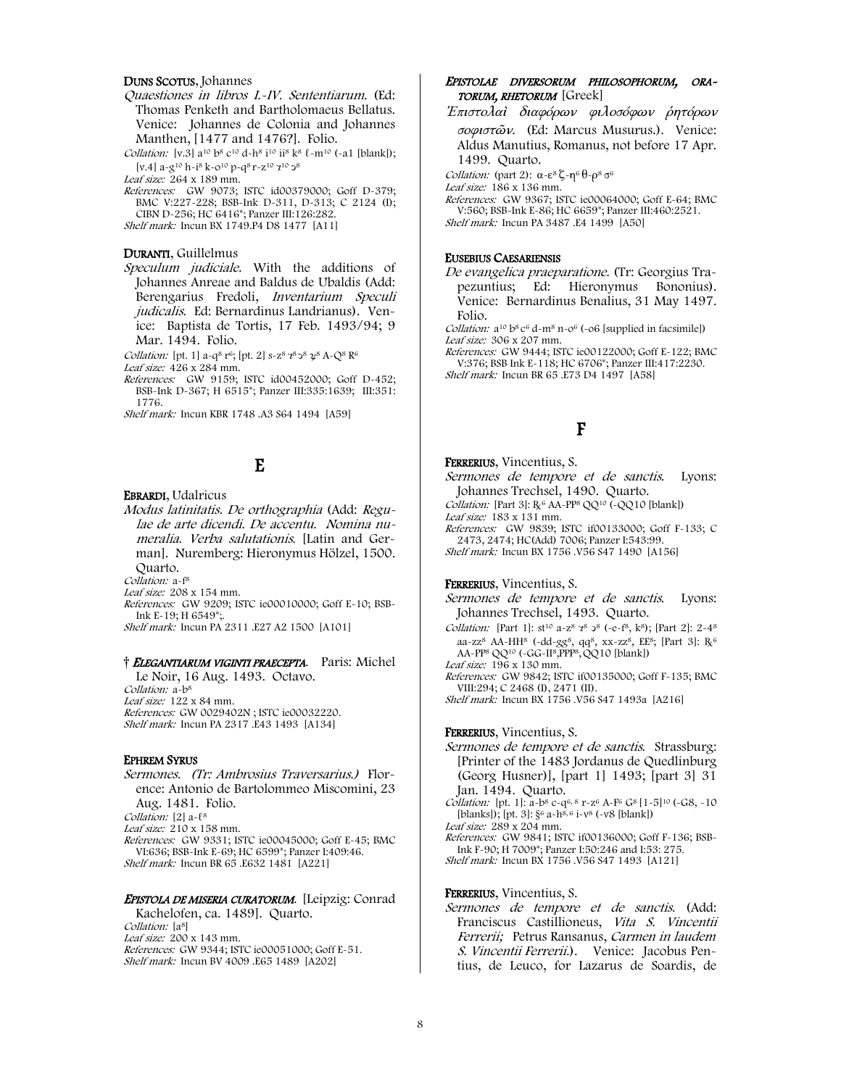#### DUNS SCOTUS, Johannes

Quaestiones in libros I.-IV. Sententiarum. (Ed: Thomas Penketh and Bartholomaeus Bellatus. Venice: Johannes de Colonia and Johannes Manthen, [1477 and 1476?]. Folio.

Collation: [v.3]  $a^{10} b^8 c^{10} d-h^8 i^{10} i^8 k^8 \ell - m^{10} (-a1$  [blank]); [v.4] a-g10 h-i8 k-o10 p-q8 r-z10 ⁊<sup>10</sup> ↄ<sup>8</sup>

Leaf size: 264 x 189 mm.

References: GW 9073; ISTC id00379000; Goff D-379; BMC V:227-228; BSB-Ink D-311, D-313; C 2124 (I); CIBN D-256; HC 6416\*; Panzer III:126:282. Shelf mark: Incun BX 1749.P4 D8 1477 [A11]

#### DURANTI, Guillelmus

Speculum judiciale. With the additions of Johannes Anreae and Baldus de Ubaldis (Add: Berengarius Fredoli, Inventarium Speculi judicalis. Ed: Bernardinus Landrianus). Venice: Baptista de Tortis, 17 Feb. 1493/94; 9 Mar. 1494. Folio.

Collation: [pt. 1]  $a-q^8 r^6$ ; [pt. 2]  $s-z^8 q^8 q^8 Q^8 A-Q^8 R^6$ 

Leaf size: 426 x 284 mm.

References: GW 9159; ISTC id00452000; Goff D-452; BSB-Ink D-367; H 6515\*; Panzer III:335:1639; III:351: 1776.

Shelf mark: Incun KBR 1748 .A3 S64 1494 [A59]

# E

EBRARDI, Udalricus

Modus latinitatis. De orthographia (Add: Regulae de arte dicendi. De accentu. Nomina numeralia. Verba salutationis. [Latin and German]. Nuremberg: Hieronymus Hölzel, 1500. Quarto.

Collation: a-f<sup>8</sup>

Leaf size: 208 x 154 mm.

References: GW 9209; ISTC ie00010000; Goff E-10; BSB-Ink E-19; H 6549\*;.

Shelf mark: Incun PA 2311 .E27 A2 1500 [A101]

#### † ELEGANTIARUM VIGINTI PRAECEPTA. Paris: Michel

Le Noir, 16 Aug. 1493. Octavo. Collation: a-b<sup>8</sup> Leaf size: 122 x 84 mm. References: GW 0029402N ; ISTC ie00032220. Shelf mark: Incun PA 2317 .E43 1493 [A134]

#### EPHREM SYRUS

Sermones. (Tr: Ambrosius Traversarius.) Florence: Antonio de Bartolommeo Miscomini, 23 Aug. 1481. Folio. Collation: [2] a- $\ell^8$ 

Leaf size: 210 x 158 mm.

References: GW 9331; ISTC ie00045000; Goff E-45; BMC VI:636; BSB-Ink E-69; HC 6599\*; Panzer I:409:46. Shelf mark: Incun BR 65 .E632 1481 [A221]

#### EPISTOLA DE MISERIA CURATORUM. [Leipzig: Conrad

Kachelofen, ca. 1489]. Quarto. Collation: [a<sup>8]</sup> Leaf size: 200 x 143 mm. References: GW 9344; ISTC ie00051000; Goff E-51. Shelf mark: Incun BV 4009 .E65 1489 [A202]

#### EPISTOLAE DIVERSORUM PHILOSOPHORUM, ORA-TORUM, RHETORUM [Greek]

<sup>Ἐ</sup>πιστολαὶ διαφόρων φιλοσόφων ῥητόρων σοφιστῶν. (Ed: Marcus Musurus.). Venice: Aldus Manutius, Romanus, not before 17 Apr. 1499. Quarto.

Collation: (part 2):  $\alpha$ -ε<sup>8</sup> ζ-η<sup>6</sup> θ-ρ<sup>8</sup> σ<sup>6</sup>

Leaf size: 186 x 136 mm.

References: GW 9367; ISTC ie00064000; Goff E-64; BMC V:560; BSB-Ink E-86; HC 6659\*; Panzer III:460:2521. Shelf mark: Incun PA 3487 .E4 1499 [A50]

#### EUSEBIUS CAESARIENSIS

De evangelica praeparatione. (Tr: Georgius Trapezuntius; Ed: Hieronymus Bononius). Venice: Bernardinus Benalius, 31 May 1497. Folio.

Collation: a<sup>10</sup> b<sup>8</sup> c<sup>6</sup> d-m<sup>8</sup> n-0<sup>6</sup> (-06 [supplied in facsimile]) Leaf size: 306 x 207 mm.

References: GW 9444; ISTC ie00122000; Goff E-122; BMC V:376; BSB Ink E-118; HC 6706\*; Panzer III:417:2230. Shelf mark: Incun BR 65 .E73 D4 1497 [A58]

# F

#### FERRERIUS, Vincentius, S.

Sermones de tempore et de sanctis. Lyons: Johannes Trechsel, 1490. Quarto.

Collation: [Part 3]:  $R_6$  AA-PP<sup>8</sup> QQ<sup>10</sup> (-QQ10 [blank])

- Leaf size: 183 x 131 mm.
- References: GW 9839; ISTC if00133000; Goff F-133; C 2473, 2474; HC(Add) 7006; Panzer I:543:99. Shelf mark: Incun BX 1756 .V56 S47 1490 [A156]

#### FERRERIUS, Vincentius, S.

Sermones de tempore et de sanctis. Lyons: Johannes Trechsel, 1493. Quarto.

Collation: [Part 1]:  $s t^{10}$  a-z<sup>8</sup>  $t^{8}$   $\circ$ <sup>8</sup> (-e-f<sup>8</sup>, k<sup>8</sup>); [Part 2]: 2-4<sup>8</sup> aa-zz8 AA-HH8 (-dd-gg8, qq8, xx-zz8, EE8; [Part 3]: ℞<sup>6</sup> AA-PP8 QQ10 (-GG-II8,PPP8, QQ10 [blank])

Leaf size: 196 x 130 mm. References: GW 9842; ISTC if00135000; Goff F-135; BMC

VIII:294; C 2468 (I), 2471 (II). Shelf mark: Incun BX 1756 .V56 S47 1493a [A216]

#### FERRERIUS, Vincentius, S.

Sermones de tempore et de sanctis. Strassburg: [Printer of the 1483 Jordanus de Quedlinburg (Georg Husner)], [part 1] 1493; [part 3] 31 Jan. 1494. Quarto.

Collation: [pt. 1]: a-b<sup>8</sup> c-q<sup>6, 8</sup> r-z<sup>6</sup> A-F<sup>6</sup> G<sup>8</sup> [1-5]<sup>10</sup> (-G8, -10 [blanks]); [pt. 3]:  $\S^6$  a-h<sup>8, 6</sup> i-v<sup>8</sup> (-v8 [blank]) Leaf size: 289 x 204 mm.

References: GW 9841; ISTC if00136000; Goff F-136; BSB-Ink F-90; H 7009\*; Panzer I:50:246 and I:53: 275.

Shelf mark: Incun BX 1756 .V56 S47 1493 [A121]

#### FERRERIUS, Vincentius, S.

Sermones de tempore et de sanctis. (Add: Franciscus Castillioneus, Vita S. Vincentii Ferrerii; Petrus Ransanus, Carmen in laudem S. Vincentii Ferrerii.). Venice: Jacobus Pentius, de Leuco, for Lazarus de Soardis, de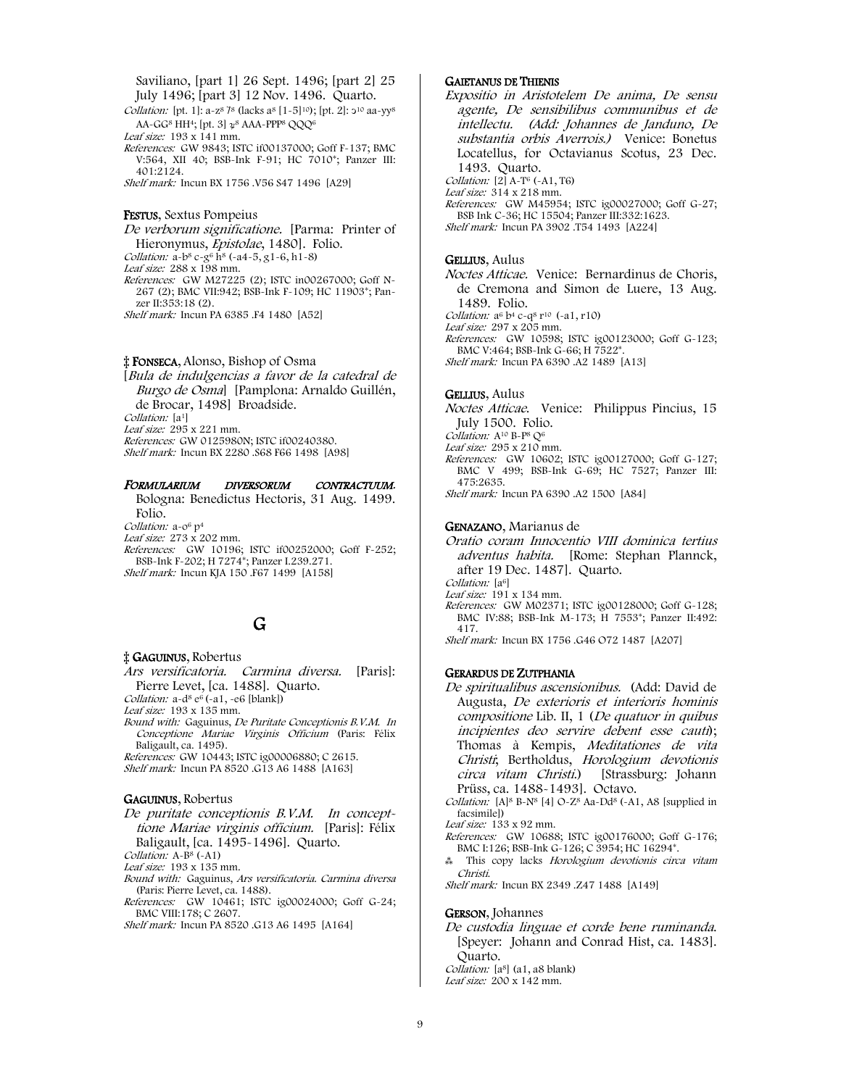Saviliano, [part 1] 26 Sept. 1496; [part 2] 25 July 1496; [part 3] 12 Nov. 1496. Quarto.

Collation: [pt. 1]: a-z<sup>8</sup> 7<sup>8</sup> (lacks a<sup>8</sup> [1-5]<sup>10</sup>); [pt. 2]: 2<sup>10</sup> aa-yy<sup>8</sup> AA-GG<sup>8</sup> HH<sup>4</sup>; [pt. 3]  $\alpha^8$  AAA-PPP<sup>8</sup> OOO<sup>6</sup>

Leaf size: 193 x 141 mm.

References: GW 9843; ISTC if00137000; Goff F-137; BMC V:564, XII 40; BSB-Ink F-91; HC 7010\*; Panzer III: 401:2124.

Shelf mark: Incun BX 1756 .V56 S47 1496 [A29]

#### FESTUS, Sextus Pompeius

De verborum significatione. [Parma: Printer of Hieronymus, Epistolae, 1480]. Folio. Collation:  $a-b^8 c-g^6 h^8 (-a4-5, g1-6, h1-8)$ Leaf size: 288 x 198 mm. References: GW M27225 (2); ISTC in00267000; Goff N-267 (2); BMC VII:942; BSB-Ink F-109; HC 11903\*; Panzer II:353:18 (2). Shelf mark: Incun PA 6385 .F4 1480 [A52]

## ‡ FONSECA, Alonso, Bishop of Osma

[Bula de indulgencias a favor de la catedral de Burgo de Osmal [Pamplona: Arnaldo Guillén, de Brocar, 1498] Broadside. Collation: [a<sup>1]</sup> Leaf size:  $295 \times 221$  mm. References: GW 0125980N; ISTC if00240380. Shelf mark: Incun BX 2280 .S68 F66 1498 [A98]

#### FORMULARIUM DIVERSORUM CONTRACTUUM.

Bologna: Benedictus Hectoris, 31 Aug. 1499. Folio. Collation: a-0<sup>6</sup> p<sup>4</sup>

Leaf size: 273 x 202 mm.

References: GW 10196; ISTC if00252000; Goff F-252; BSB-Ink F-202; H 7274\*; Panzer I.239.271. Shelf mark: Incun KJA 150 .F67 1499 [A158]

## G

#### ‡ GAGUINUS, Robertus

Ars versificatoria. Carmina diversa. [Paris]: Pierre Levet, [ca. 1488]. Quarto.

Collation:  $a-d^8 e^6$  (-a1, -e6 [blank])

Leaf size: 193 x 135 mm.

Bound with: Gaguinus, De Puritate Conceptionis B.V.M. In Conceptione Mariae Virginis Officium (Paris: Félix Baligault, ca. 1495).

References: GW 10443; ISTC ig00006880; C 2615. Shelf mark: Incun PA 8520 .G13 A6 1488 [A163]

#### GAGUINUS, Robertus

#### De puritate conceptionis B.V.M. In concepttione Mariae virginis officium. [Paris]: Félix Baligault, [ca. 1495-1496]. Quarto.

Collation: A-B<sup>8</sup> (-A1)

Leaf size: 193 x 135 mm.

Bound with: Gaguinus, Ars versificatoria. Carmina diversa (Paris: Pierre Levet, ca. 1488).

- References: GW 10461; ISTC ig00024000; Goff G-24; BMC VIII:178; C 2607.
- Shelf mark: Incun PA 8520 .G13 A6 1495 [A164]

#### GAIETANUS DE THIENIS

Expositio in Aristotelem De anima, De sensu agente, De sensibilibus communibus et de intellectu. (Add: Johannes de Janduno, De substantia orbis Averrois.) Venice: Bonetus Locatellus, for Octavianus Scotus, 23 Dec. 1493. Quarto. Collation:  $[2]$  A-T<sup>6</sup> (-A1, T6)

Leaf size: 314 x 218 mm.

References: GW M45954; ISTC ig00027000; Goff G-27; BSB Ink C-36; HC 15504; Panzer III:332:1623. Shelf mark: Incun PA 3902 .T54 1493 [A224]

#### GELLIUS, Aulus

Noctes Atticae. Venice: Bernardinus de Choris, de Cremona and Simon de Luere, 13 Aug. 1489. Folio. Collation:  $a^6 b^4 c - a^8 r^{10}$  (-a1, r10) Leaf size: 297 x 205 mm.

References: GW 10598; ISTC ig00123000; Goff G-123; BMC V:464; BSB-Ink G-66; H 7522\*. Shelf mark: Incun PA 6390 .A2 1489 [A13]

#### GELLIUS, Aulus

Noctes Atticae. Venice: Philippus Pincius, 15 July 1500. Folio. Collation: A<sup>10</sup> B-P<sup>8</sup> O<sup>6</sup> Leaf size: 295 x 210 mm. References: GW 10602; ISTC ig00127000; Goff G-127; BMC V 499; BSB-Ink G-69; HC 7527; Panzer III: 475:2635. Shelf mark: Incun PA 6390 .A2 1500 [A84]

#### GENAZANO, Marianus de

Oratio coram Innocentio VIII dominica tertius adventus habita. [Rome: Stephan Plannck, after 19 Dec. 1487]. Quarto. Collation: [a<sup>6]</sup> Leaf size: 191 x 134 mm. References: GW M02371; ISTC ig00128000; Goff G-128;

BMC IV:88; BSB-Ink M-173; H 7553\*; Panzer II:492: 417. Shelf mark: Incun BX 1756 .G46 O72 1487 [A207]

#### GERARDUS DE ZUTPHANIA

De spiritualibus ascensionibus. (Add: David de Augusta, De exterioris et interioris hominis compositione Lib. II, 1 (De quatuor in quibus incipientes deo servire debent esse cauti); Thomas à Kempis, Meditationes de vita Christi; Bertholdus, Horologium devotionis circa vitam Christi.) [Strassburg: Johann Prüss, ca. 1488-1493]. Octavo.

Collation:  $[A]^8$  B-N<sup>8</sup> [4] O-Z<sup>8</sup> Aa-Dd<sup>8</sup> (-A1, A8 [supplied in facsimile])

Leaf size: 133 x 92 mm.

- References: GW 10688; ISTC ig00176000; Goff G-176; BMC I:126; BSB-Ink G-126; C 3954; HC 16294\*.
- ⁂ This copy lacks Horologium devotionis circa vitam Christi.

Shelf mark: Incun BX 2349 .Z47 1488 [A149]

#### GERSON, Johannes

De custodia linguae et corde bene ruminanda. [Speyer: Johann and Conrad Hist, ca. 1483]. Quarto. Collation: [a<sup>8]</sup> (a1, a8 blank)

Leaf size: 200 x 142 mm.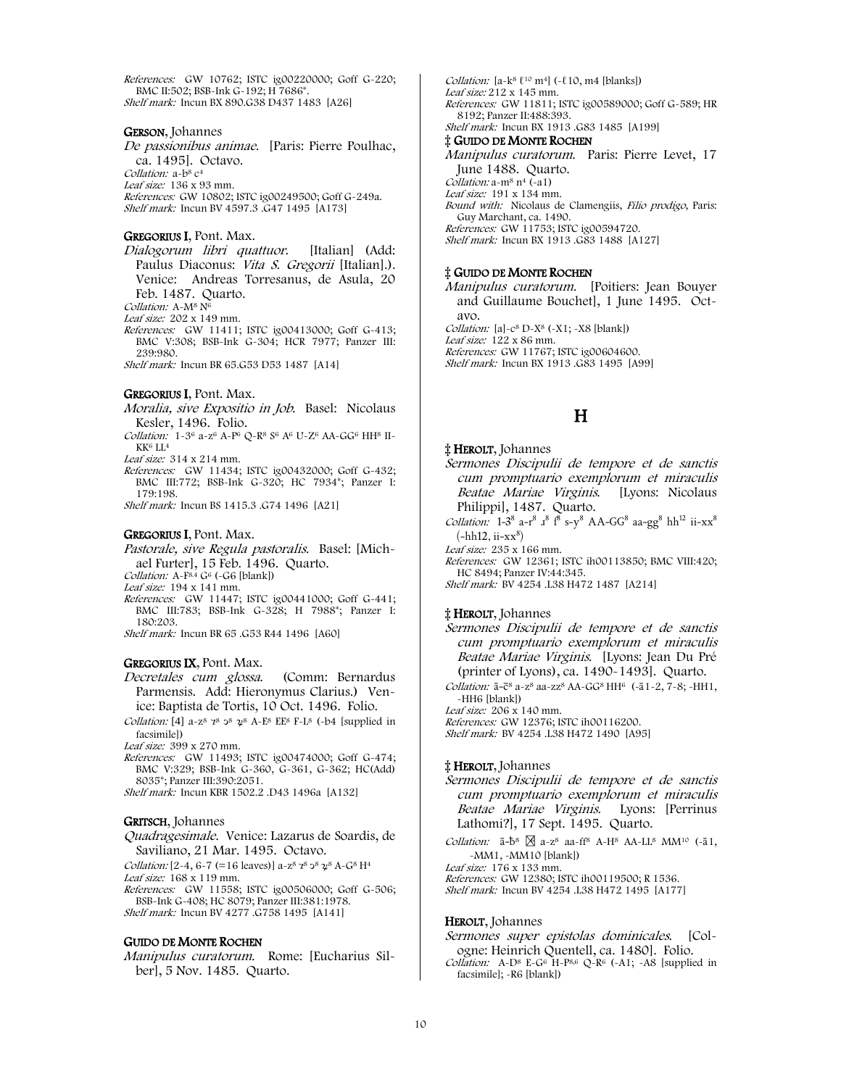References: GW 10762; ISTC ig00220000; Goff G-220; BMC II:502; BSB-Ink G-192; H 7686\*. Shelf mark: Incun BX 890.G38 D437 1483 [A26]

#### GERSON, Johannes

De passionibus animae. [Paris: Pierre Poulhac, ca. 1495]. Octavo.

Collation: a-b<sup>8</sup> c<sup>4</sup> Leaf size: 136 x 93 mm.

References: GW 10802; ISTC ig00249500; Goff G-249a. Shelf mark: Incun BV 4597.3 .G47 1495 [A173]

#### GREGORIUS I, Pont. Max.

Dialogorum libri quattuor. [Italian] (Add: Paulus Diaconus: Vita S. Gregorii [Italian].). Venice: Andreas Torresanus, de Asula, 20 Feb. 1487. Quarto. Collation: A-M<sup>8</sup> N<sup>6</sup>

Leaf size: 202 x 149 mm.

References: GW 11411; ISTC ig00413000; Goff G-413; BMC V:308; BSB-Ink G-304; HCR 7977; Panzer III: 239:980.

Shelf mark: Incun BR 65.G53 D53 1487 [A14]

#### GREGORIUS I, Pont. Max.

- Moralia, sive Expositio in Job. Basel: Nicolaus Kesler, 1496. Folio.
- Collation: 1-36 a-z6 A-P6 Q-R8 S6 A6 U-Z6 AA-GG6 HH8 II-KK<sup>6</sup> LL<sup>4</sup>

Leaf size: 314 x 214 mm.

References: GW 11434; ISTC ig00432000; Goff G-432; BMC III:772; BSB-Ink G-320; HC 7934\*; Panzer I: 179:198.

Shelf mark: Incun BS 1415.3 .G74 1496 [A21]

#### GREGORIUS I, Pont. Max.

Pastorale, sive Regula pastoralis. Basel: [Michael Furter], 15 Feb. 1496. Quarto.

Collation:  $A - F^{8.4}$  G<sup>6</sup> ( $-G6$  [blank])

Leaf size: 194 x 141 mm.

- References: GW 11447; ISTC ig00441000; Goff G-441; BMC III:783; BSB-Ink G-328; H 7988\*; Panzer I:
- 180:203. Shelf mark: Incun BR 65 .G53 R44 1496 [A60]

#### GREGORIUS IX, Pont. Max.

- Decretales cum glossa. (Comm: Bernardus Parmensis. Add: Hieronymus Clarius.) Venice: Baptista de Tortis, 10 Oct. 1496. Folio.
- Collation: [4] a-z<sup>8</sup>  $7^8$   $3^8$   $2^8$  A-E<sup>8</sup> EE<sup>8</sup> F-L<sup>8</sup> (-b4 [supplied in facsimile])

Leaf size: 399 x 270 mm.

References: GW 11493; ISTC ig00474000; Goff G-474; BMC V:329; BSB-Ink G-360, G-361, G-362; HC(Add) 8035\*; Panzer III:390:2051.

Shelf mark: Incun KBR 1502.2 .D43 1496a [A132]

#### GRITSCH, Johannes

Quadragesimale. Venice: Lazarus de Soardis, de Saviliano, 21 Mar. 1495. Octavo.

Collation:  $[2-4, 6-7 (=16$  leaves)]  $a-z^8 z^8 z^8 x^8 A-G^8 H^4$ 

Leaf size: 168 x 119 mm.

References: GW 11558; ISTC ig00506000; Goff G-506; BSB-Ink G-408; HC 8079; Panzer III:381:1978. Shelf mark: Incun BV 4277 .G758 1495 [A141]

#### GUIDO DE MONTE ROCHEN

Manipulus curatorum. Rome: [Eucharius Silber], 5 Nov. 1485. Quarto.

Collation:  $[a-k^8 \ell^{10} \text{m}^4]$  (~ $\ell$ 10, m4 [blanks]) Leaf size: 212 x 145 mm. References: GW 11811; ISTC ig00589000; Goff G-589; HR 8192; Panzer II:488:393. Shelf mark: Incun BX 1913 .G83 1485 [A199] ‡ GUIDO DE MONTE ROCHEN Manipulus curatorum. Paris: Pierre Levet, 17

June 1488. Quarto. Collation: a-m8 n4 (-a1) Leaf size: 191 x 134 mm. Bound with: Nicolaus de Clamengiis, Filio prodigo, Paris: Guy Marchant, ca. 1490. References: GW 11753; ISTC ig00594720. Shelf mark: Incun BX 1913 .G83 1488 [A127]

#### ‡ GUIDO DE MONTE ROCHEN

Manipulus curatorum. [Poitiers: Jean Bouyer and Guillaume Bouchet], 1 June 1495. Octavo. Collation:  $[a]$ -c<sup>8</sup> D-X<sup>8</sup> (-X1; -X8 [blank]) Leaf size: 122 x 86 mm. References: GW 11767; ISTC ig00604600. Shelf mark: Incun BX 1913 .G83 1495 [A99]

# H

‡ HEROLT, Johannes

Sermones Discipulii de tempore et de sanctis cum promptuario exemplorum et miraculis Beatae Mariae Virginis. [Lyons: Nicolaus Philippi], 1487. Quarto.

*Collation:*  $1-3^8$  a-r<sup>8</sup>  $1^8$   $1^8$  s-y<sup>8</sup> AA-GG<sup>8</sup> aa-gg<sup>8</sup> hh<sup>12</sup> ii-xx<sup>8</sup>  $(-\text{h}h12, \text{ii-xx}^8)$ 

Leaf size: 235 x 166 mm.

References: GW 12361; ISTC ih00113850; BMC VIII:420; HC 8494; Panzer IV:44:345. Shelf mark: BV 4254 .L38 H472 1487 [A214]

#### ‡ HEROLT, Johannes

Sermones Discipulii de tempore et de sanctis cum promptuario exemplorum et miraculis Beatae Mariae Virginis. [Lyons: Jean Du Pré (printer of Lyons), ca. 1490-1493]. Quarto.

Collation:  $\bar{a}$ - $\bar{c}$ <sup>8</sup> a- $z$ <sup>8</sup> aa-z $z$ <sup>8</sup> AA-GG<sup>8</sup> HH<sup>6</sup> (- $\bar{a}$ 1-2, 7-8; -HH1, -HH6 [blank])

Leaf size: 206 x 140 mm.

References: GW 12376; ISTC ih00116200. Shelf mark: BV 4254 .L38 H472 1490 [A95]

#### ‡ HEROLT, Johannes

Sermones Discipulii de tempore et de sanctis cum promptuario exemplorum et miraculis Beatae Mariae Virginis. Lyons: [Perrinus Lathomi?], 17 Sept. 1495. Quarto.

Collation:  $\bar{a}-\bar{b}^8$   $\overline{M}$  a-z<sup>8</sup> aa-ff<sup>8</sup> A-H<sup>8</sup> AA-LL<sup>8</sup> MM<sup>10</sup> (- $\bar{a}1$ , -MM1, -MM10 [blank])

Leaf size:  $176 \times 133$  mm.

References: GW 12380; ISTC ih00119500; R 1536.

Shelf mark: Incun BV 4254 .L38 H472 1495 [A177]

#### HEROLT, Johannes

Sermones super epistolas dominicales. [Cologne: Heinrich Quentell, ca. 1480]. Folio.

Collation: A-D8 E-G6 H-P8,6 Q-R6 (-A1; -A8 [supplied in facsimile]; -R6 [blank])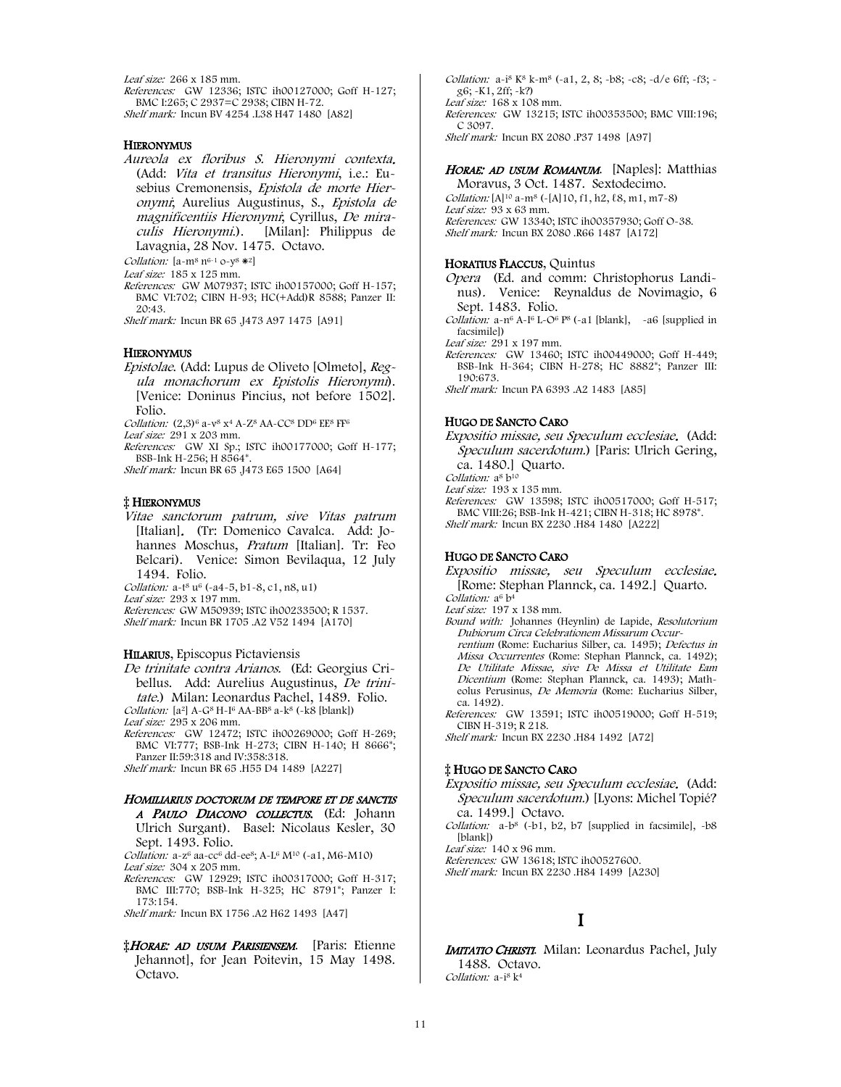Leaf size: 266 x 185 mm. References: GW 12336; ISTC ih00127000; Goff H-127; BMC I:265; C 2937=C 2938; CIBN H-72. Shelf mark: Incun BV 4254 .L38 H47 1480 [A82]

#### **HIERONYMUS**

Aureola ex floribus S. Hieronymi contexta. (Add: Vita et transitus Hieronymi, i.e.: Eusebius Cremonensis, Epistola de morte Hieronymi; Aurelius Augustinus, S., Epistola de magnificentiis Hieronymi; Cyrillus, De miraculis Hieronymi.). [Milan]: Philippus de Lavagnia, 28 Nov. 1475. Octavo.

Collation:  $[a-m^8 n^{6-1} o - v^8 *^2]$ 

Leaf size: 185 x 125 mm.

References: GW M07937; ISTC ih00157000; Goff H-157; BMC VI:702; CIBN H-93; HC(+Add)R 8588; Panzer II: 20:43.

Shelf mark: Incun BR 65 .J473 A97 1475 [A91]

#### **HIERONYMUS**

Epistolae. (Add: Lupus de Oliveto [Olmeto], Regula monachorum ex Epistolis Hieronymi). [Venice: Doninus Pincius, not before 1502]. Folio.

Collation:  $(2,3)^6$  a-v<sup>8</sup> x<sup>4</sup> A-Z<sup>8</sup> AA-CC<sup>8</sup> DD<sup>6</sup> EE<sup>8</sup> FF<sup>6</sup>

Leaf size: 291 x 203 mm.

References: GW XI Sp.; ISTC ih00177000; Goff H-177; BSB-Ink H-256; H 8564\*.

Shelf mark: Incun BR 65 .J473 E65 1500 [A64]

#### ‡ HIERONYMUS

Vitae sanctorum patrum, sive Vitas patrum [Italian]. (Tr: Domenico Cavalca. Add: Johannes Moschus, Pratum [Italian]. Tr: Feo Belcari). Venice: Simon Bevilaqua, 12 July 1494. Folio.

Collation: a-t<sup>8</sup> u<sup>6</sup> (-a4-5, b1-8, c1, n8, u1)

Leaf size: 293 x 197 mm.

References: GW M50939; ISTC ih00233500; R 1537. Shelf mark: Incun BR 1705 .A2 V52 1494 [A170]

#### HILARIUS, Episcopus Pictaviensis

De trinitate contra Arianos. (Ed: Georgius Cribellus. Add: Aurelius Augustinus, De trinitate.) Milan: Leonardus Pachel, 1489. Folio.

Collation:  $[a^2]$  A-G<sup>8</sup> H-I<sup>6</sup> AA-BB<sup>8</sup> a-k<sup>8</sup> (-k8 [blank]) Leaf size: 295 x 206 mm.

References: GW 12472; ISTC ih00269000; Goff H-269; BMC VI:777; BSB-Ink H-273; CIBN H-140; H 8666\*; Panzer II:59:318 and IV:358:318.

Shelf mark: Incun BR 65 .H55 D4 1489 [A227]

### HOMILIARIUS DOCTORUM DE TEMPORE ET DE SANCTIS

A PAULO DIACONO COLLECTUS. (Ed: Johann Ulrich Surgant). Basel: Nicolaus Kesler, 30 Sept. 1493. Folio.

Collation: a-z<sup>6</sup> aa-cc<sup>6</sup> dd-ee<sup>8</sup>; A-L<sup>6</sup> M<sup>10</sup> (-a1, M6-M10) Leaf size: 304 x 205 mm.

References: GW 12929; ISTC ih00317000; Goff H-317; BMC III:770; BSB-Ink H-325; HC 8791\*; Panzer I: 173:154.

Shelf mark: Incun BX 1756 .A2 H62 1493 [A47]

**‡HORAE: AD USUM PARISIENSEM.** [Paris: Etienne Jehannot], for Jean Poitevin, 15 May 1498. Octavo.

Collation:  $a^{-18}$  K<sup>8</sup> k-m<sup>8</sup> (-a1, 2, 8; -b8; -c8; -d/e 6ff; -f3; g6; -K1, 2ff; -k?) Leaf size: 168 x 108 mm. References: GW 13215; ISTC ih00353500; BMC VIII:196; C 3097.

Shelf mark: Incun BX 2080 .P37 1498 [A97]

#### HORAE: AD USUM ROMANUM. [Naples]: Matthias

Moravus, 3 Oct. 1487. Sextodecimo. Collation:  $[A]^{10}$  a-m<sup>8</sup> (-[A]10, f1, h2,  $\ell$ 8, m1, m7-8) Leaf size: 93 x 63 mm. References: GW 13340; ISTC ih00357930; Goff O-38. Shelf mark: Incun BX 2080 .R66 1487 [A172]

#### HORATIUS FLACCUS, Quintus

- Opera (Ed. and comm: Christophorus Landinus). Venice: Reynaldus de Novimagio, 6 Sept. 1483. Folio.
- *Collation:*  $a n^6 A I^6 L O^6 P^8$  ( $-a1$  [blank],  $-a6$  [supplied in facsimile])

Leaf size: 291 x 197 mm.

References: GW 13460; ISTC ih00449000; Goff H-449; BSB-Ink H-364; CIBN H-278; HC 8882\*; Panzer III: 190:673.

Shelf mark: Incun PA 6393 .A2 1483 [A85]

#### HUGO DE SANCTO CARO

Expositio missae, seu Speculum ecclesiae. (Add: Speculum sacerdotum.) [Paris: Ulrich Gering, ca. 1480.] Quarto.

Collation: a<sup>8</sup> b<sup>10</sup> Leaf size: 193 x 135 mm.

References: GW 13598; ISTC ih00517000; Goff H-517; BMC VIII:26; BSB-Ink H-421; CIBN H-318; HC 8978\*. Shelf mark: Incun BX 2230 .H84 1480 [A222]

#### HUGO DE SANCTO CARO

Expositio missae, seu Speculum ecclesiae. [Rome: Stephan Plannck, ca. 1492.] Quarto. Collation: a<sup>6</sup> b<sup>4</sup>

Leaf size: 197 x 138 mm.

- Bound with: Johannes (Heynlin) de Lapide, Resolutorium Dubiorum Circa Celebrationem Missarum Occurrentium (Rome: Eucharius Silber, ca. 1495); Defectus in Missa Occurrentes (Rome: Stephan Plannck, ca. 1492); De Utilitate Missae, sive De Missa et Utilitate Eam Dicentium (Rome: Stephan Plannck, ca. 1493); Math-
- eolus Perusinus, De Memoria (Rome: Eucharius Silber, ca. 1492). References: GW 13591; ISTC ih00519000; Goff H-519;
- CIBN H-319; R 218.

Shelf mark: Incun BX 2230 .H84 1492 [A72]

#### ‡ HUGO DE SANCTO CARO

- Expositio missae, seu Speculum ecclesiae. (Add: Speculum sacerdotum.) [Lyons: Michel Topié? ca. 1499.] Octavo.
- Collation:  $a-b^8$  (-b1, b2, b7 [supplied in facsimile], -b8 [blank])

Leaf size: 140 x 96 mm.

References: GW 13618; ISTC ih00527600.

Shelf mark: Incun BX 2230 .H84 1499 [A230]

## I

IMITATIO CHRISTI. Milan: Leonardus Pachel, July 1488. Octavo. Collation: a-i<sup>8</sup> k<sup>4</sup>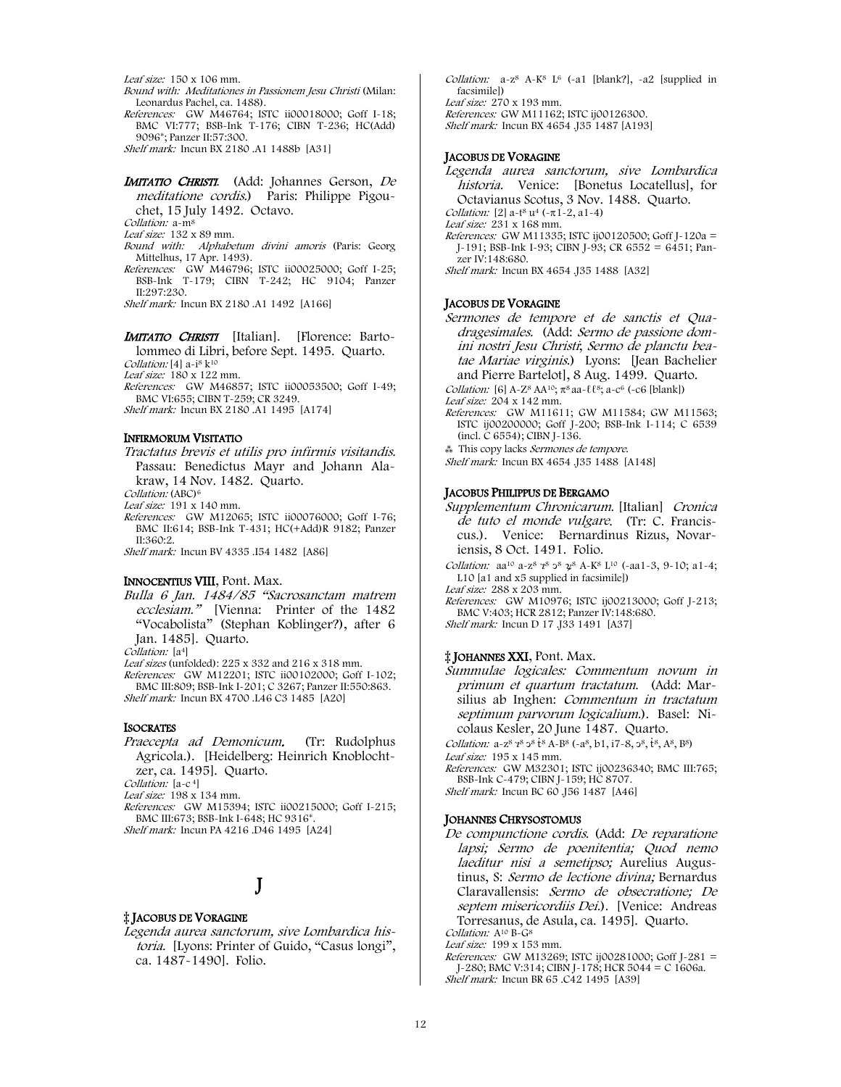Leaf size: 150 x 106 mm.

- Bound with: Meditationes in Passionem Jesu Christi (Milan: Leonardus Pachel, ca. 1488).
- References: GW M46764; ISTC ii00018000; Goff I-18; BMC VI:777; BSB-Ink T-176; CIBN T-236; HC(Add) 9096\*; Panzer II:57:300.

Shelf mark: Incun BX 2180 .A1 1488b [A31]

#### IMITATIO CHRISTI. (Add: Johannes Gerson, De meditatione cordis.) Paris: Philippe Pigouchet, 15 July 1492. Octavo.

Collation: a-m8

- Leaf size: 132 x 89 mm.
- Bound with: Alphabetum divini amoris (Paris: Georg Mittelhus, 17 Apr. 1493).
- References: GW M46796; ISTC ii00025000; Goff I-25; BSB-Ink T-179; CIBN T-242; HC 9104; Panzer II:297:230.

Shelf mark: Incun BX 2180 .A1 1492 [A166]

# **IMITATIO CHRISTI** [Italian]. [Florence: Barto-

lommeo di Libri, before Sept. 1495. Quarto.

Collation: [4] a-i<sup>8</sup> k<sup>10</sup>

Leaf size: 180 x 122 mm.

References: GW M46857; ISTC ii00053500; Goff I-49; BMC VI:655; CIBN T-259; CR 3249.

Shelf mark: Incun BX 2180 .A1 1495 [A174]

#### INFIRMORUM VISITATIO

Tractatus brevis et utilis pro infirmis visitandis. Passau: Benedictus Mayr and Johann Alakraw, 14 Nov. 1482. Quarto.

Collation: (ABC)<sup>6</sup>

- Leaf size: 191 x 140 mm.
- References: GW M12065; ISTC ii00076000; Goff I-76; BMC II:614; BSB-Ink T-431; HC(+Add)R 9182; Panzer II:360:2.

Shelf mark: Incun BV 4335 .I54 1482 [A86]

#### INNOCENTIUS VIII, Pont. Max.

Bulla 6 Jan. 1484/85 "Sacrosanctam matrem ecclesiam." [Vienna: Printer of the 1482 "Vocabolista" (Stephan Koblinger?), after 6 Jan. 1485]. Quarto.

Collation: [a<sup>4</sup>]

Leaf sizes (unfolded): 225 x 332 and 216 x 318 mm.

References: GW M12201; ISTC ii00102000; Goff I-102; BMC III:809; BSB-Ink I-201; C 3267; Panzer II:550:863. Shelf mark: Incun BX 4700 .L46 C3 1485 [A20]

#### **ISOCRATES**

Praecepta ad Demonicum. (Tr: Rudolphus Agricola.). [Heidelberg: Heinrich Knoblochtzer, ca. 1495]. Quarto. Collation: [a-c<sup>4]</sup>

Leaf size: 198 x 134 mm.

References: GW M15394; ISTC ii00215000; Goff I-215; BMC III:673; BSB-Ink I-648; HC 9316\*.

Shelf mark: Incun PA 4216 .D46 1495 [A24]

# J

#### ‡ JACOBUS DE VORAGINE

Legenda aurea sanctorum, sive Lombardica historia. [Lyons: Printer of Guido, "Casus longi", ca. 1487-1490]. Folio.

Collation:  $a-z^8$  A-K<sup>8</sup> L<sup>6</sup> (-a1 [blank?], -a2 [supplied in facsimile]) Leaf size: 270 x 193 mm. References: GW M11162; ISTC ij00126300. Shelf mark: Incun BX 4654 .J35 1487 [A193]

#### JACOBUS DE VORAGINE

Legenda aurea sanctorum, sive Lombardica historia. Venice: [Bonetus Locatellus], for Octavianus Scotus, 3 Nov. 1488. Quarto. Collation: [2] a-t<sup>8</sup> u<sup>4</sup> (- $\pi$ 1-2, a1-4) Leaf size: 231 x 168 mm. References: GW M11335; ISTC ij00120500; Goff J-120a = J-191; BSB-Ink I-93; CIBN J-93; CR 6552 = 6451; Panzer IV:148:680. Shelf mark: Incun BX 4654 .J35 1488 [A32]

#### JACOBUS DE VORAGINE

Sermones de tempore et de sanctis et Quadragesimales. (Add: Sermo de passione domini nostri Jesu Christi; Sermo de planctu beatae Mariae virginis.) Lyons: [Jean Bachelier and Pierre Bartelot], 8 Aug. 1499. Quarto. Collation: [6] A-Z<sup>8</sup> AA<sup>10</sup>;  $\pi^8$  aa- $\ell \ell^8$ ; a-c<sup>6</sup> (-c6 [blank]) Leaf size: 204 x 142 mm. References: GW M11611; GW M11584; GW M11563; ISTC ij00200000; Goff J-200; BSB-Ink I-114; C 6539 (incl. C 6554); CIBN J-136. ⁂ This copy lacks Sermones de tempore. Shelf mark: Incun BX 4654 .J35 1488 [A148]

#### JACOBUS PHILIPPUS DE BERGAMO

Supplementum Chronicarum. [Italian] Cronica de tuto el monde vulgare. (Tr: C. Franciscus.). Venice: Bernardinus Rizus, Novariensis, 8 Oct. 1491. Folio.

Collation: aa<sup>10</sup> a-z<sup>8</sup>  $7^8$   $3^8$   $2^8$  A-K<sup>8</sup> L<sup>10</sup> (-aa1-3, 9-10; a1-4; L10 [a1 and x5 supplied in facsimile])

Leaf size: 288 x 203 mm. References: GW M10976; ISTC ij00213000; Goff J-213; BMC V:403; HCR 2812; Panzer IV:148:680. Shelf mark: Incun D 17 .J33 1491 [A37]

# ‡ JOHANNES XXI, Pont. Max.

Summulae logicales: Commentum novum in primum et quartum tractatum. (Add: Marsilius ab Inghen: Commentum in tractatum septimum parvorum logicalium.). Basel: Nicolaus Kesler, 20 June 1487. Quarto.

Collation:  $a-z^8$   $z^8$   $\frac{1}{2}$   $s^8$   $\frac{1}{2}$   $s^8$   $\frac{1}{2}$   $s^8$ ,  $b^8$ ,  $c^8$ ,  $d^8$ ,  $d^8$ ,  $e^8$ ) Leaf size: 195 x 145 mm.

References: GW M32301; ISTC ij00236340; BMC III:765; BSB-Ink C-479; CIBN J-159; HC 8707. Shelf mark: Incun BC 60 .J56 1487 [A46]

#### JOHANNES CHRYSOSTOMUS

De compunctione cordis. (Add: De reparatione lapsi; Sermo de poenitentia; Quod nemo laeditur nisi a semetipso; Aurelius Augustinus, S: Sermo de lectione divina; Bernardus Claravallensis: Sermo de obsecratione; De septem misericordiis Dei.). [Venice: Andreas Torresanus, de Asula, ca. 1495]. Quarto. Collation: A<sup>10</sup> B-G<sup>8</sup>

Leaf size: 199 x 153 mm.

References: GW M13269; ISTC ij00281000; Goff J-281 = J-280; BMC V:314; CIBN J-178; HCR 5044 = C 1606a. Shelf mark: Incun BR 65 .C42 1495 [A39]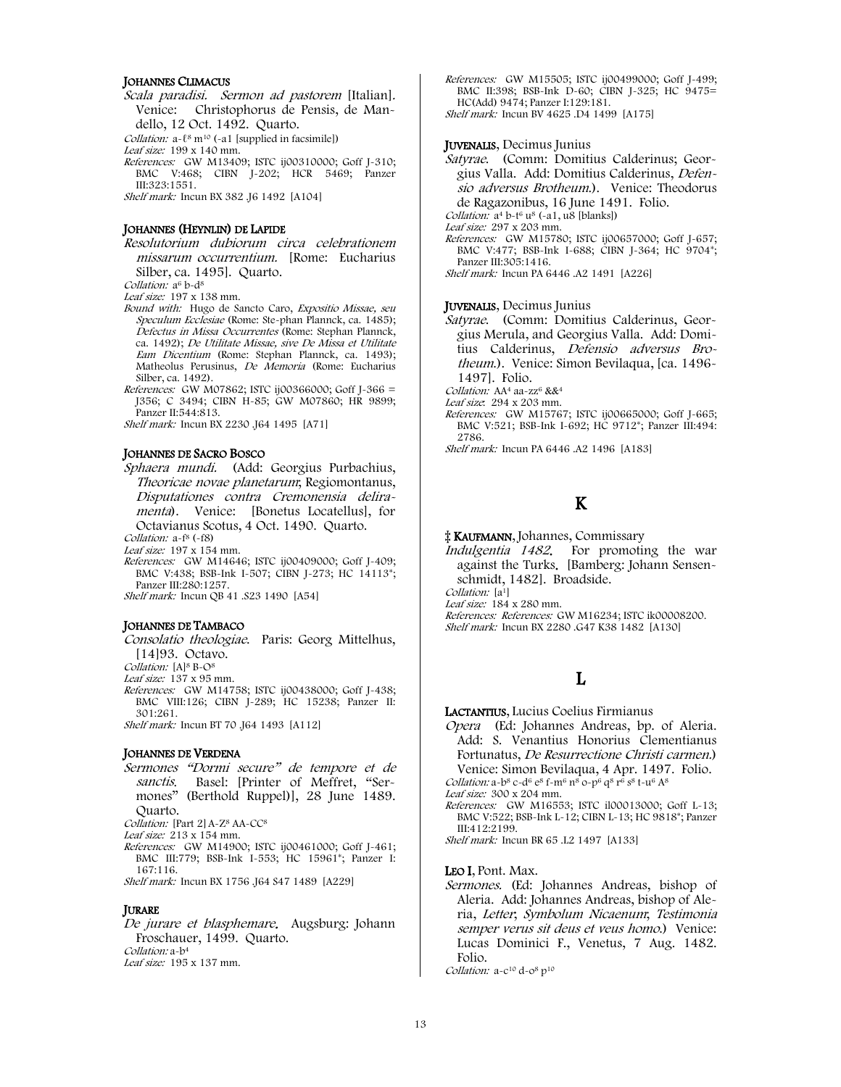#### JOHANNES CLIMACUS

Scala paradisi. Sermon ad pastorem [Italian]. Venice: Christophorus de Pensis, de Mandello, 12 Oct. 1492. Quarto.

Collation: a- $\ell^8$  m<sup>10</sup> (-a1 [supplied in facsimile])

Leaf size: 199 x 140 mm.

References: GW M13409; ISTC ij00310000; Goff J-310; BMC V:468; CIBN J-202; HCR 5469; Panzer III:323:1551.

Shelf mark: Incun BX 382 .J6 1492 [A104]

#### JOHANNES (HEYNLIN) DE LAPIDE

Resolutorium dubiorum circa celebrationem missarum occurrentium. [Rome: Eucharius Silber, ca. 1495]. Quarto.

Collation: a<sup>6</sup> b-d<sup>8</sup>

- Leaf size: 197 x 138 mm.
- Bound with: Hugo de Sancto Caro, Expositio Missae, seu Speculum Ecclesiae (Rome: Ste-phan Plannck, ca. 1485); Defectus in Missa Occurrentes (Rome: Stephan Plannck, ca. 1492); De Utilitate Missae, sive De Missa et Utilitate Eam Dicentium (Rome: Stephan Plannck, ca. 1493); Matheolus Perusinus, De Memoria (Rome: Eucharius Silber, ca. 1492).
- References: GW M07862; ISTC ij00366000; Goff J-366 = J356; C 3494; CIBN H-85; GW M07860; HR 9899; Panzer II:544:813.

Shelf mark: Incun BX 2230 .J64 1495 [A71]

#### JOHANNES DE SACRO BOSCO

Sphaera mundi. (Add: Georgius Purbachius, Theoricae novae planetarum; Regiomontanus, Disputationes contra Cremonensia deliramenta). Venice: [Bonetus Locatellus], for Octavianus Scotus, 4 Oct. 1490. Quarto.

Collation: a-f<sup>8</sup> (-f8)

Leaf size: 197 x 154 mm.

References: GW M14646; ISTC ij00409000; Goff J-409; BMC V:438; BSB-Ink I-507; CIBN J-273; HC 14113\*; Panzer III:280:1257. Shelf mark: Incun QB 41 .S23 1490 [A54]

#### JOHANNES DE TAMBACO

- Consolatio theologiae. Paris: Georg Mittelhus, [14]93. Octavo.
- Collation: [A]<sup>8</sup> B-O<sup>8</sup>

Leaf size:  $137 \times 95$  mm.

References: GW M14758; ISTC ij00438000; Goff J-438; BMC VIII:126; CIBN J-289; HC 15238; Panzer II: 301:261.

Shelf mark: Incun BT 70 .J64 1493 [A112]

#### JOHANNES DE VERDENA

Sermones "Dormi secure" de tempore et de sanctis. Basel: [Printer of Meffret, "Sermones" (Berthold Ruppel)], 28 June 1489. Quarto.

Collation: [Part 2] A-Z<sup>8</sup> AA-CC<sup>8</sup>

- Leaf size: 213 x 154 mm.
- References: GW M14900; ISTC ij00461000; Goff J-461; BMC III:779; BSB-Ink I-553; HC 15961\*; Panzer I: 167:116.

Shelf mark: Incun BX 1756 .J64 S47 1489 [A229]

#### **JURARE**

De jurare et blasphemare. Augsburg: Johann Froschauer, 1499. Quarto. Collation: a-b4 Leaf size: 195 x 137 mm.

References: GW M15505; ISTC ij00499000; Goff J-499; BMC II:398; BSB-Ink D-60; CIBN J-325; HC 9475= HC(Add) 9474; Panzer I:129:181. Shelf mark: Incun BV 4625 .D4 1499 [A175]

#### JUVENALIS, Decimus Junius

Satyrae. (Comm: Domitius Calderinus; Georgius Valla. Add: Domitius Calderinus, Defensio adversus Brotheum.). Venice: Theodorus de Ragazonibus, 16 June 1491. Folio. Collation:  $a^4$  b-t<sup>6</sup> u<sup>8</sup> (-a1, u8 [blanks]) Leaf size: 297 x 203 mm. References: GW M15780; ISTC ij00657000; Goff J-657; BMC V:477; BSB-Ink I-688; CIBN J-364; HC 9704\*; Panzer III:305:1416.

Shelf mark: Incun PA 6446 .A2 1491 [A226]

#### JUVENALIS, Decimus Junius

Satyrae. (Comm: Domitius Calderinus, Georgius Merula, and Georgius Valla. Add: Domitius Calderinus, Defensio adversus Brotheum.). Venice: Simon Bevilaqua, [ca. 1496- 1497]. Folio.

Collation: AA<sup>4</sup> aa-zz<sup>6</sup> &&<sup>4</sup> Leaf size: 294 x 203 mm.

- References: GW M15767; ISTC ij00665000; Goff J-665; BMC V:521; BSB-Ink I-692; HC 9712\*; Panzer III:494: 2786.
- Shelf mark: Incun PA 6446 .A2 1496 [A183]

# K

‡ KAUFMANN, Johannes, Commissary

Indulgentia 1482. For promoting the war against the Turks. [Bamberg: Johann Sensenschmidt, 1482]. Broadside.

Collation: [a<sup>1</sup>]

Leaf size: 184 x 280 mm. References: References: GW M16234; ISTC ik00008200. Shelf mark: Incun BX 2280 .G47 K38 1482 [A130]

# L

LACTANTIUS, Lucius Coelius Firmianus

Opera (Ed: Johannes Andreas, bp. of Aleria. Add: S. Venantius Honorius Clementianus Fortunatus, De Resurrectione Christi carmen.) Venice: Simon Bevilaqua, 4 Apr. 1497. Folio. Collation: a-b<sup>8</sup> c-d<sup>6</sup> e<sup>8</sup> f-m<sup>6</sup> n<sup>8</sup> o-p<sup>6</sup> q<sup>8</sup> r<sup>6</sup> s<sup>8</sup> t-u<sup>6</sup> A<sup>8</sup>

Leaf size: 300 x 204 mm.

References: GW M16553; ISTC il00013000; Goff L-13; BMC V:522; BSB-Ink L-12; CIBN L-13; HC 9818\*; Panzer  $III:412:2199$ .

Shelf mark: Incun BR 65 .L2 1497 [A133]

#### LEO I, Pont. Max.

Sermones. (Ed: Johannes Andreas, bishop of Aleria. Add: Johannes Andreas, bishop of Aleria, Letter; Symbolum Nicaenum; Testimonia semper verus sit deus et veus homo.) Venice: Lucas Dominici F., Venetus, 7 Aug. 1482. Folio. Collation: a-c<sup>10</sup> d-o<sup>8</sup> p<sup>10</sup>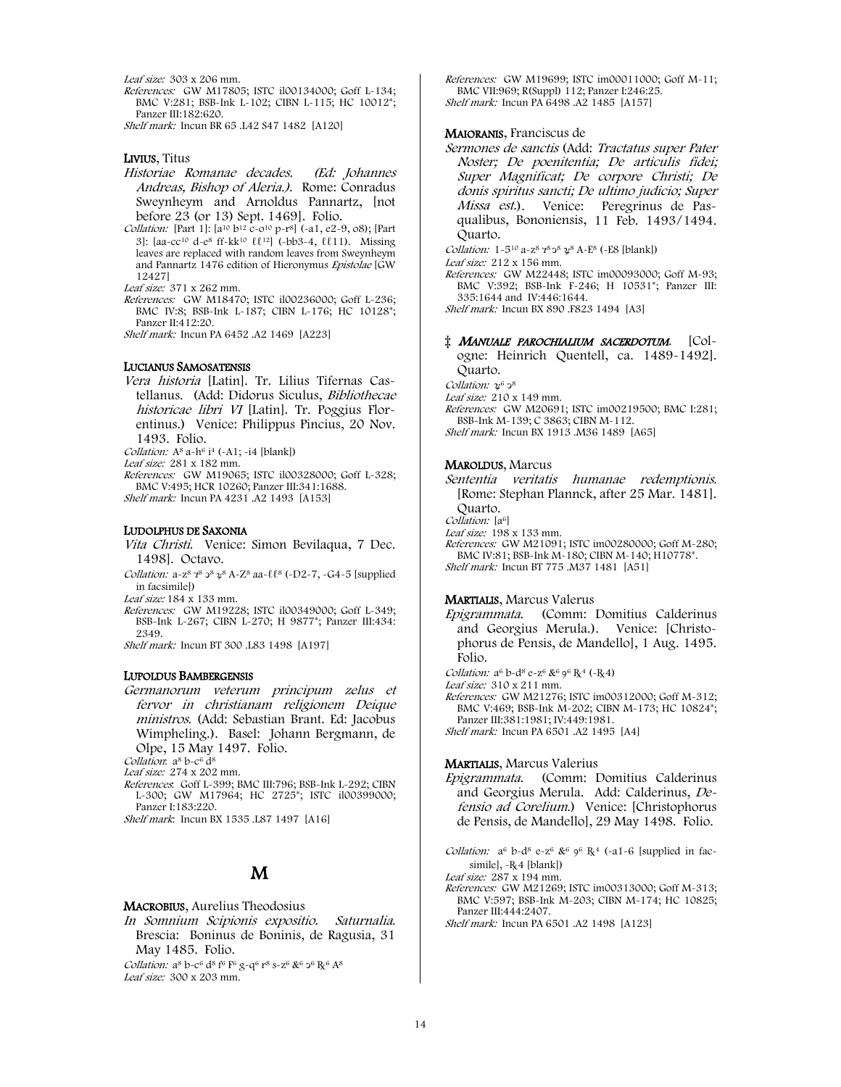Leaf size: 303 x 206 mm.

References: GW M17805; ISTC il00134000; Goff L-134; BMC V:281; BSB-Ink L-102; CIBN L-115; HC 10012\*; Panzer III:182:620.

Shelf mark: Incun BR 65 .L42 S47 1482 [A120]

#### LIVIUS, Titus

- Historiae Romanae decades. (Ed: Johannes Andreas, Bishop of Aleria.). Rome: Conradus Sweynheym and Arnoldus Pannartz, [not before 23 (or 13) Sept. 1469]. Folio.
- Collation: [Part 1]:  $[a^{10} b^{12} c 0^{10} p r^8]$  (-a1, e2-9, o8); [Part 3]: [aa-cc10 d-e8 ff-kk10 ℓℓ12] (-bb3-4, ℓℓ11). Missing leaves are replaced with random leaves from Sweynheym and Pannartz 1476 edition of Hieronymus Epistolae [GW 12427]

Leaf size: 371 x 262 mm.

References: GW M18470; ISTC il00236000; Goff L-236; BMC IV:8; BSB-Ink L-187; CIBN L-176; HC 10128\*; Panzer II:412:20.

Shelf mark: Incun PA 6452 .A2 1469 [A223]

#### LUCIANUS SAMOSATENSIS

Vera historia [Latin]. Tr. Lilius Tifernas Castellanus. (Add: Didorus Siculus, Bibliothecae historicae libri VI [Latin]. Tr. Poggius Florentinus.) Venice: Philippus Pincius, 20 Nov. 1493. Folio.

Collation:  $A^8$  a- $h^6$  i<sup>4</sup> (-A1; -i4 [blank])

Leaf size: 281 x 182 mm.

References: GW M19065; ISTC il00328000; Goff L-328; BMC V:495; HCR 10260; Panzer III:341:1688. Shelf mark: Incun PA 4231 .A2 1493 [A153]

#### LUDOLPHUS DE SAXONIA

- Vita Christi. Venice: Simon Bevilaqua, 7 Dec. 1498]. Octavo.
- Collation: a-z<sup>8</sup>  $7^{8}$   $3^{8}$   $3^{8}$   $4^{8}$   $4^{8}$   $3^{8}$   $3^{8}$   $4^{8}$   $3^{8}$   $4^{8}$   $3^{8}$   $3^{8}$   $4^{8}$   $3^{8}$   $3^{8}$   $4^{8}$   $3^{8}$   $4^{8}$   $3^{8}$   $4^{8}$   $3^{8}$   $4^{8}$   $3^{8}$   $4^{8}$   $4^{8}$   $3^{8}$   $4^{8}$   $4^{8}$   $4^{8}$  in facsimile])

Leaf size: 184 x 133 mm.

References: GW M19228; ISTC il00349000; Goff L-349; BSB-Ink L-267; CIBN L-270; H 9877\*; Panzer III:434: 2349.

Shelf mark: Incun BT 300 .L83 1498 [A197]

#### LUPOLDUS BAMBERGENSIS

Germanorum veterum principum zelus et fervor in christianam religionem Deique ministros. (Add: Sebastian Brant. Ed: Jacobus Wimpheling.). Basel: Johann Bergmann, de Olpe, 15 May 1497. Folio.

Collation: a<sup>8</sup> b-c<sup>6</sup> d<sup>8</sup>

Leaf size: 274 x 202 mm.

References: Goff L-399; BMC III:796; BSB-Ink L-292; CIBN L-300; GW M17964; HC 2725\*; ISTC il00399000; Panzer I:183:220.

Shelf mark: Incun BX 1535 .L87 1497 [A16]

## M

#### MACROBIUS, Aurelius Theodosius

In Somnium Scipionis expositio. Saturnalia. Brescia: Boninus de Boninis, de Ragusia, 31 May 1485. Folio.

Collation:  $a^8$  b-c<sup>6</sup>  $d^8$  f<sup>6</sup> F<sup>6</sup> g-q<sup>6</sup> r<sup>8</sup> s-z<sup>6</sup> &<sup>6</sup>  $2^6$  R<sup>6</sup> A<sup>8</sup> Leaf size: 300 x 203 mm.

References: GW M19699; ISTC im00011000; Goff M-11; BMC VII:969; R(Suppl) 112; Panzer I:246:25. Shelf mark: Incun PA 6498 .A2 1485 [A157]

#### MAIORANIS, Franciscus de

Sermones de sanctis (Add: Tractatus super Pater Noster; De poenitentia; De articulis fidei; Super Magnificat; De corpore Christi; De donis spiritus sancti; De ultimo judicio; Super Missa est.). Venice: Peregrinus de Pasqualibus, Bononiensis, 11 Feb. 1493/1494. Quarto.

Collation:  $1 - 5^{10}$  a-z<sup>8</sup>  $7^{8}$   $3^{8}$   $2^{8}$  A-E<sup>8</sup> (-E8 [blank])

Leaf size: 212 x 156 mm.

References: GW M22448; ISTC im00093000; Goff M-93; BMC V:392; BSB-Ink F-246; H 10531\*; Panzer III: 335:1644 and IV:446:1644. Shelf mark: Incun BX 890 .F823 1494 [A3]

### ‡ MANUALE PAROCHIALIUM SACERDOTUM. [Col-

ogne: Heinrich Quentell, ca. 1489-1492]. Quarto.

Collation:  $v^6$   $3^8$ 

Leaf size: 210 x 149 mm.

References: GW M20691; ISTC im00219500; BMC I:281; BSB-Ink M-139; C 3863; CIBN M-112. Shelf mark: Incun BX 1913 .M36 1489 [A65]

#### MAROLDUS, Marcus

Sententia veritatis humanae redemptionis. [Rome: Stephan Plannck, after 25 Mar. 1481]. Quarto.

Collation: [a<sup>6]</sup>

Leaf size: 198 x 133 mm.

References: GW M21091; ISTC im00280000; Goff M-280; BMC IV:81; BSB-Ink M-180; CIBN M-140; H10778\*. Shelf mark: Incun BT 775 .M37 1481 [A51]

#### MARTIALIS, Marcus Valerus

Epigrammata. (Comm: Domitius Calderinus and Georgius Merula.). Venice: [Christophorus de Pensis, de Mandello], 1 Aug. 1495. Folio.

Collation:  $a^6$  b- $d^8$  e- $z^6$  & $^6$  9 $^6$  R $^4$  (-R $4$ )

Leaf size: 310 x 211 mm.

References: GW M21276; ISTC im00312000; Goff M-312; BMC V:469; BSB-Ink M-202; CIBN M-173; HC 10824\*; Panzer III:381:1981; IV:449:1981. Shelf mark: Incun PA 6501 .A2 1495 [A4]

#### MARTIALIS, Marcus Valerius

Epigrammata. (Comm: Domitius Calderinus and Georgius Merula. Add: Calderinus, Defensio ad Corelium.) Venice: [Christophorus de Pensis, de Mandello], 29 May 1498. Folio.

Collation:  $a^6$  b-d<sup>8</sup> e-z<sup>6</sup> &<sup>6</sup> 9<sup>6</sup> R<sub>4</sub><sup>4</sup> (-a1-6 [supplied in facsimile], -R<sub>4</sub> [blank]) Leaf size: 287 x 194 mm.

#### References: GW M21269; ISTC im00313000; Goff M-313; BMC V:597; BSB-Ink M-203; CIBN M-174; HC 10825; Panzer III:444:2407. Shelf mark: Incun PA 6501 .A2 1498 [A123]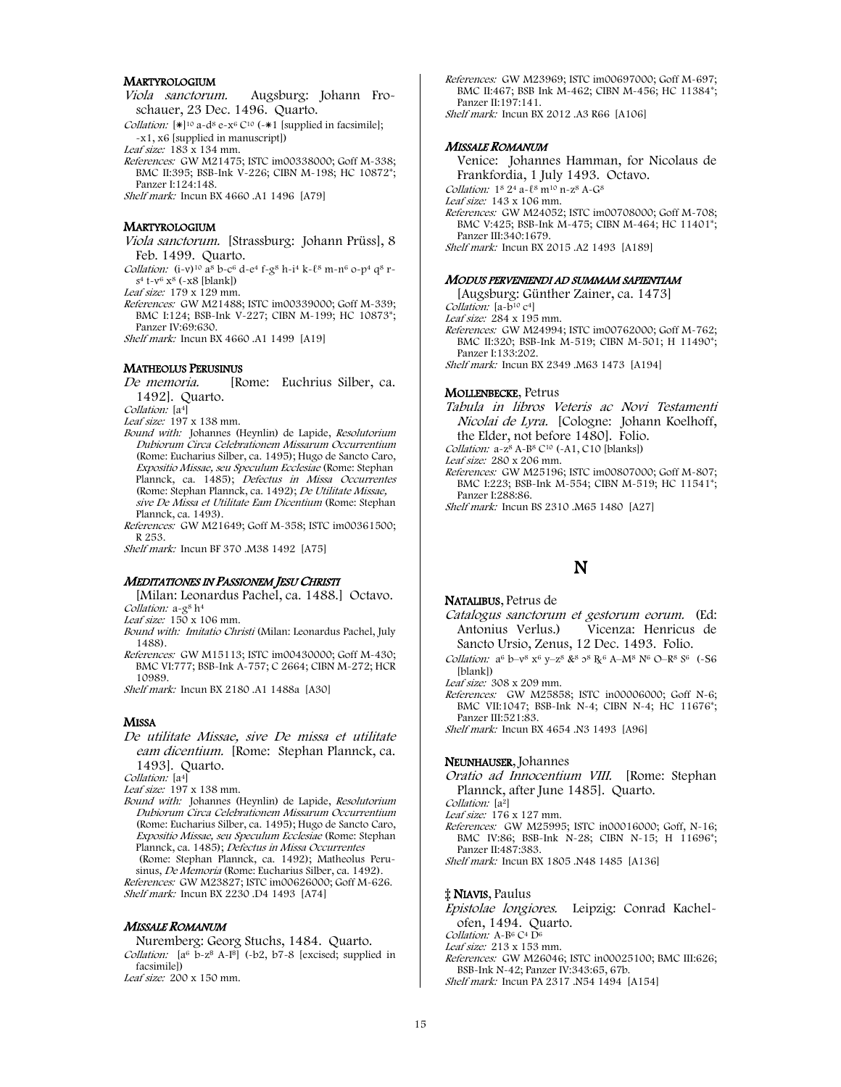#### **MARTYROLOGIUM**

Viola sanctorum. Augsburg: Johann Froschauer, 23 Dec. 1496. Quarto.

Collation:  $[\ast]^{10}$  a-d<sup>8</sup> e-x<sup>6</sup> C<sup>10</sup> (- $\ast$ 1 [supplied in facsimile]; -x1, x6 [supplied in manuscript])

Leaf size:  $183 \times 134$  mm.

References: GW M21475; ISTC im00338000; Goff M-338; BMC II:395; BSB-Ink V-226; CIBN M-198; HC 10872\*; Panzer I:124:148.

Shelf mark: Incun BX 4660 .A1 1496 [A79]

#### **MARTYROLOGIUM**

Viola sanctorum. [Strassburg: Johann Prüss], 8 Feb. 1499. Quarto.

Collation: (i-v)<sup>10</sup>  $\alpha^8$  b-c<sup>6</sup> d-e<sup>4</sup> f-g<sup>8</sup> h-i<sup>4</sup> k- $\ell^8$  m-n<sup>6</sup> o-p<sup>4</sup> q<sup>8</sup> r $s^4$  t-v<sup>6</sup> x<sup>8</sup> (-x8 [blank])

Leaf size: 179 x 129 mm.

References: GW M21488; ISTC im00339000; Goff M-339; BMC I:124; BSB-Ink V-227; CIBN M-199; HC 10873\*; Panzer IV:69:630.

Shelf mark: Incun BX 4660 .A1 1499 [A19]

#### MATHEOLUS PERUSINUS

De memoria. [Rome: Euchrius Silber, ca. 1492]. Quarto.

Collation: [a<sup>4]</sup>

Leaf size: 197 x 138 mm.

- Bound with: Johannes (Heynlin) de Lapide, Resolutorium Dubiorum Circa Celebrationem Missarum Occurrentium (Rome: Eucharius Silber, ca. 1495); Hugo de Sancto Caro, Expositio Missae, seu Speculum Ecclesiae (Rome: Stephan Plannck, ca. 1485); Defectus in Missa Occurrentes (Rome: Stephan Plannck, ca. 1492); De Utilitate Missae, sive De Missa et Utilitate Eam Dicentium (Rome: Stephan Plannck, ca. 1493).
- References: GW M21649; Goff M-358; ISTC im00361500; R 253.

Shelf mark: Incun BF 370 .M38 1492 [A75]

#### MEDITATIONES IN PASSIONEM JESU CHRISTI

[Milan: Leonardus Pachel, ca. 1488.] Octavo. Collation: a-g<sup>8</sup> h<sup>4</sup>

Leaf size: 150 x 106 mm.

- Bound with: Imitatio Christi (Milan: Leonardus Pachel, July 1488).
- References: GW M15113; ISTC im00430000; Goff M-430; BMC VI:777; BSB-Ink A-757; C 2664; CIBN M-272; HCR 10989.

Shelf mark: Incun BX 2180 .A1 1488a [A30]

#### **MISSA**

De utilitate Missae, sive De missa et utilitate eam dicentium. [Rome: Stephan Plannck, ca. 1493]. Quarto.

Collation: [a4]

Leaf size: 197 x 138 mm.

Bound with: Johannes (Heynlin) de Lapide, Resolutorium Dubiorum Circa Celebrationem Missarum Occurrentium (Rome: Eucharius Silber, ca. 1495); Hugo de Sancto Caro, Expositio Missae, seu Speculum Ecclesiae (Rome: Stephan Plannck, ca. 1485); Defectus in Missa Occurrentes (Rome: Stephan Plannck, ca. 1492); Matheolus Perusinus, De Memoria (Rome: Eucharius Silber, ca. 1492). References: GW M23827; ISTC im00626000; Goff M-626.

Shelf mark: Incun BX 2230 .D4 1493 [A74]

#### MISSALE ROMANUM

Nuremberg: Georg Stuchs, 1484. Quarto. Collation:  $[a^6 \overline{b} - z^8 A - I^8]$  (-b2, b7-8 [excised; supplied in facsimile]) Leaf size: 200 x 150 mm.

References: GW M23969; ISTC im00697000; Goff M-697; BMC II:467; BSB Ink M-462; CIBN M-456; HC 11384\*; Panzer II:197:141. Shelf mark: Incun BX 2012 .A3 R66 [A106]

#### MISSALE ROMANUM

Venice: Johannes Hamman, for Nicolaus de Frankfordia, 1 July 1493. Octavo. Collation:  $1^8 2^4 a - \ell^8 m^{10} n - z^8 A - G^8$ Leaf size: 143 x 106 mm. References: GW M24052; ISTC im00708000; Goff M-708; BMC V:425; BSB-Ink M-475; CIBN M-464; HC 11401\*; Panzer III:340:1679. Shelf mark: Incun BX 2015 .A2 1493 [A189]

#### MODUS PERVENIENDI AD SUMMAM SAPIENTIAM

[Augsburg: Günther Zainer, ca. 1473]

Collation: [a-b<sup>10</sup> c<sup>4</sup>]

- Leaf size: 284 x 195 mm.
- References: GW M24994; ISTC im00762000; Goff M-762; BMC II:320; BSB-Ink M-519; CIBN M-501; H 11490\*; Panzer I:133:202.

Shelf mark: Incun BX 2349 .M63 1473 [A194]

#### MOLLENBECKE, Petrus

Tabula in libros Veteris ac Novi Testamenti Nicolai de Lyra. [Cologne: Johann Koelhoff, the Elder, not before 1480]. Folio. Collation:  $a-z^8A-B^8C^{10}$  (~A1, C10 [blanks])

Leaf size: 280 x 206 mm.

References: GW M25196; ISTC im00807000; Goff M-807; BMC I:223; BSB-Ink M-554; CIBN M-519; HC 11541\*; Panzer I:288:86.

Shelf mark: Incun BS 2310 .M65 1480 [A27]

## N

#### NATALIBUS, Petrus de

Catalogus sanctorum et gestorum eorum. (Ed: Antonius Verlus.) Vicenza: Henricus de Sancto Ursio, Zenus, 12 Dec. 1493. Folio.

Collation:  $a^6$  b–v<sup>8</sup> x<sup>6</sup> y–z<sup>8</sup> &<sup>8</sup>  $2^8$   $R^6$  A–M<sup>8</sup> N<sup>6</sup> O–R<sup>8</sup> S<sup>6</sup> (-S6 [blank])

Leaf size: 308 x 209 mm.

References: GW M25858; ISTC in00006000; Goff N-6; BMC VII:1047; BSB-Ink N-4; CIBN N-4; HC 11676\*; Panzer III:521:83. Shelf mark: Incun BX 4654 .N3 1493 [A96]

#### NEUNHAUSER, Johannes

Oratio ad Innocentium VIII. [Rome: Stephan Plannck, after June 1485]. Quarto.

Collation: [a<sup>2</sup>]

- Leaf size: 176 x 127 mm.
- References: GW M25995; ISTC in00016000; Goff, N-16; BMC IV:86; BSB-Ink N-28; CIBN N-15; H 11696\*; Panzer II:487:383.

Shelf mark: Incun BX 1805 .N48 1485 [A136]

#### ‡ NIAVIS, Paulus

Epistolae longiores. Leipzig: Conrad Kachelofen, 1494. Quarto.

Collation: A-B<sup>6</sup> C<sup>4</sup> D<sup>6</sup>

Leaf size: 213 x 153 mm.

References: GW M26046; ISTC in00025100; BMC III:626; BSB-Ink N-42; Panzer IV:343:65, 67b. Shelf mark: Incun PA 2317 .N54 1494 [A154]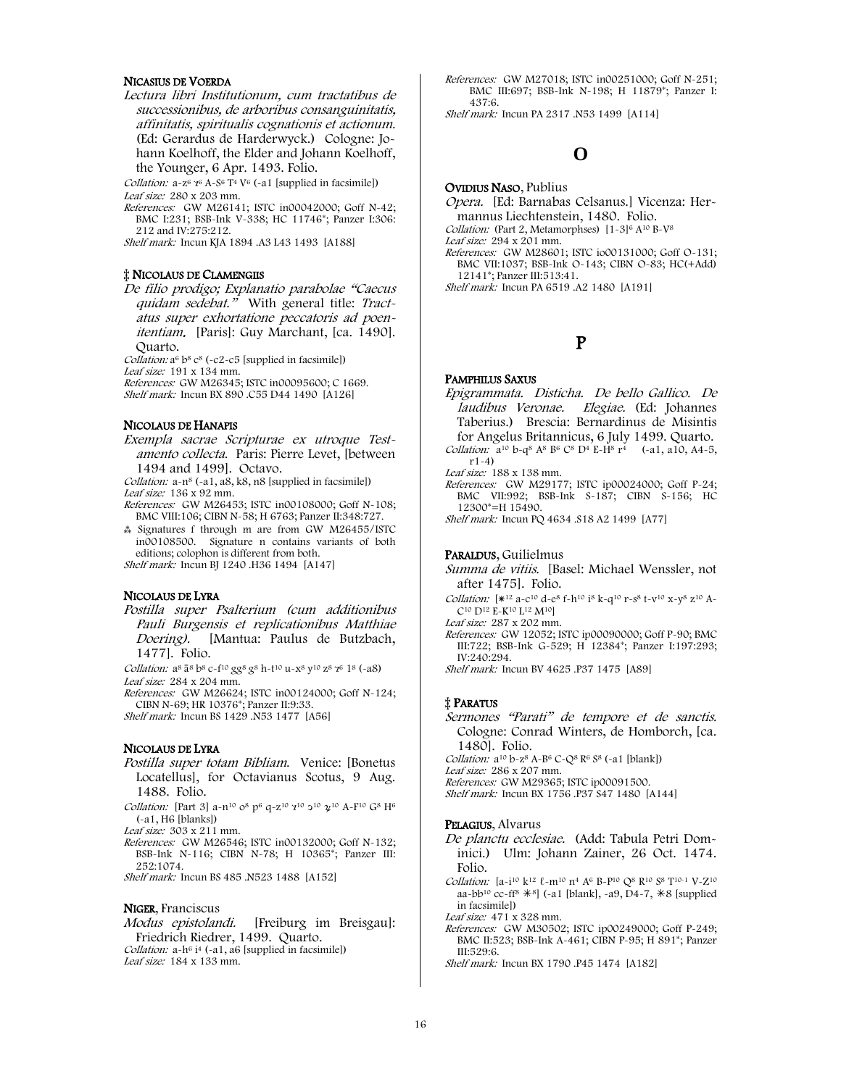#### NICASIUS DE VOERDA

Lectura libri Institutionum, cum tractatibus de successionibus, de arboribus consanguinitatis, affinitatis, spiritualis cognationis et actionum. (Ed: Gerardus de Harderwyck.) Cologne: Johann Koelhoff, the Elder and Johann Koelhoff, the Younger, 6 Apr. 1493. Folio.

Collation:  $a-z^6$   $z^6$   $A-S^6$   $T^4$   $V^6$  (~a1 [supplied in facsimile]) Leaf size: 280 x 203 mm.

References: GW M26141; ISTC in00042000; Goff N-42; BMC I:231; BSB-Ink V-338; HC 11746\*; Panzer I:306: 212 and IV:275:212.

Shelf mark: Incun KJA 1894 .A3 L43 1493 [A188]

#### ‡ NICOLAUS DE CLAMENGIIS

De filio prodigo; Explanatio parabolae "Caecus quidam sedebat." With general title: Tractatus super exhortatione peccatoris ad poenitentiam. [Paris]: Guy Marchant, [ca. 1490]. Quarto.

Collation:  $a^6$  b<sup>8</sup> c<sup>8</sup> (-c2-c5 [supplied in facsimile]) Leaf size: 191 x 134 mm.

References: GW M26345; ISTC in00095600; C 1669. Shelf mark: Incun BX 890 .C55 D44 1490 [A126]

#### NICOLAUS DE HANAPIS

Exempla sacrae Scripturae ex utroque Testamento collecta. Paris: Pierre Levet, [between 1494 and 1499]. Octavo.

Collation: a-n8 (-a1, a8, k8, n8 [supplied in facsimile]) Leaf size: 136 x 92 mm.

- References: GW M26453; ISTC in00108000; Goff N-108; BMC VIII:106; CIBN N-58; H 6763; Panzer II:348:727.
- ⁂ Signatures f through m are from GW M26455/ISTC in00108500. Signature n contains variants of both editions; colophon is different from both.

Shelf mark: Incun BJ 1240 .H36 1494 [A147]

#### NICOLAUS DE LYRA

Postilla super Psalterium (cum additionibus Pauli Burgensis et replicationibus Matthiae Doering). [Mantua: Paulus de Butzbach, 1477]. Folio.

Collation:  $a^8$   $\bar{a}^8$   $b^8$   $c$ - $f^{10}$   $g g^8$   $g^8$   $h$ - $f^{10}$   $u$ - $x^8$   $y^{10}$   $z^8$   $\gamma^6$   $1^8$  (- $a8$ ) Leaf size: 284 x 204 mm.

References: GW M26624; ISTC in00124000; Goff N-124; CIBN N-69; HR 10376\*; Panzer II:9:33.

Shelf mark: Incun BS 1429 .N53 1477 [A56]

#### NICOLAUS DE LYRA

- Postilla super totam Bibliam. Venice: [Bonetus Locatellus], for Octavianus Scotus, 9 Aug. 1488. Folio.
- Collation: [Part 3] a-n<sup>10</sup> o<sup>8</sup> p<sup>6</sup> q-z<sup>10</sup> 7<sup>10</sup> 2<sup>10</sup>  $\chi$ <sup>10</sup> A-F<sup>10</sup> G<sup>8</sup> H<sup>6</sup> (-a1, H6 [blanks])

Leaf size: 303 x 211 mm.

References: GW M26546; ISTC in00132000; Goff N-132; BSB-Ink N-116; CIBN N-78; H 10365\*; Panzer III: 252:1074.

Shelf mark: Incun BS 485 .N523 1488 [A152]

NIGER, Franciscus<br>Modus epistolandi. [Freiburg im Breisgau]: Friedrich Riedrer, 1499. Quarto. Collation:  $a-h^6$  i<sup>4</sup> (-a1,  $a6$  [supplied in facsimile]) Leaf size: 184 x 133 mm.

References: GW M27018; ISTC in00251000; Goff N-251; BMC III:697; BSB-Ink N-198; H 11879\*; Panzer I: 437:6.

Shelf mark: Incun PA 2317 .N53 1499 [A114]

# **O**

#### OVIDIUS NASO, Publius

Opera. [Ed: Barnabas Celsanus.] Vicenza: Hermannus Liechtenstein, 1480. Folio.

Collation: (Part 2, Metamorphses)  $[1-3]^{6} A^{10} B - V^{8}$ 

Leaf size: 294 x 201 mm.

References: GW M28601; ISTC io00131000; Goff O-131; BMC VII:1037; BSB-Ink O-143; CIBN O-83; HC(+Add) 12141\*; Panzer III:513:41.

Shelf mark: Incun PA 6519 .A2 1480 [A191]

# P

#### PAMPHILUS SAXUS

Epigrammata. Disticha. De bello Gallico. De laudibus Veronae. Elegiae. (Ed: Johannes Taberius.) Brescia: Bernardinus de Misintis for Angelus Britannicus, 6 July 1499. Quarto. Collation:  $a^{10} b-q^8 A^8 B^6 C^8 D^4 E-H^8 r^4$  (-a1, a10, A4-5,

r1-4)

Leaf size: 188 x 138 mm.

- References: GW M29177; ISTC ip00024000; Goff P-24; BMC VII:992; BSB-Ink S-187; CIBN S-156; HC 12300\*=H 15490.
- Shelf mark: Incun PQ 4634 .S18 A2 1499 [A77]

#### PARALDUS, Guilielmus

Summa de vitiis. [Basel: Michael Wenssler, not after 1475]. Folio.

Collation:  $*^{12}$  a-c<sup>10</sup> d-e<sup>8</sup> f-h<sup>10</sup> i<sup>8</sup> k-q<sup>10</sup> r-s<sup>8</sup> t-y<sup>10</sup> x-y<sup>8</sup> z<sup>10</sup> A-C<sup>10</sup> D<sup>12</sup> E-K<sup>10</sup> L<sup>12</sup> M<sup>10</sup>

Leaf size: 287 x 202 mm.

References: GW 12052; ISTC ip00090000; Goff P-90; BMC III:722; BSB-Ink G-529; H 12384\*; Panzer I:197:293;  $IV:240.294$ 

Shelf mark: Incun BV 4625 .P37 1475 [A89]

#### ‡ PARATUS

Sermones "Parati" de tempore et de sanctis. Cologne: Conrad Winters, de Homborch, [ca. 1480]. Folio.

Collation:  $a^{10} b-z^8 A-B^6 C-Q^8 R^6 S^8$  (-a1 [blank])

Leaf size: 286 x 207 mm.

References: GW M29365; ISTC ip00091500.

Shelf mark: Incun BX 1756 .P37 S47 1480 [A144]

#### PELAGIUS, Alvarus

De planctu ecclesiae. (Add: Tabula Petri Dominici.) Ulm: Johann Zainer, 26 Oct. 1474. Folio.

Collation:  $[a-1]$ <sup>10</sup> k<sup>12</sup>  $\ell$ -m<sup>10</sup> n<sup>4</sup> A<sup>6</sup> B-P<sup>10</sup> Q<sup>8</sup> R<sup>10</sup> S<sup>8</sup> T<sup>10-1</sup> V-Z<sup>10</sup> aa-bb<sup>10</sup> cc-ff<sup>8</sup>  $*$ <sup>8</sup>] (-a1 [blank], -a9, D4-7,  $*$ 8 [supplied in facsimile])

Leaf size: 471 x 328 mm.

References: GW M30502; ISTC ip00249000; Goff P-249; BMC II:523; BSB-Ink A-461; CIBN P-95; H 891\*; Panzer III:529:6.

Shelf mark: Incun BX 1790 .P45 1474 [A182]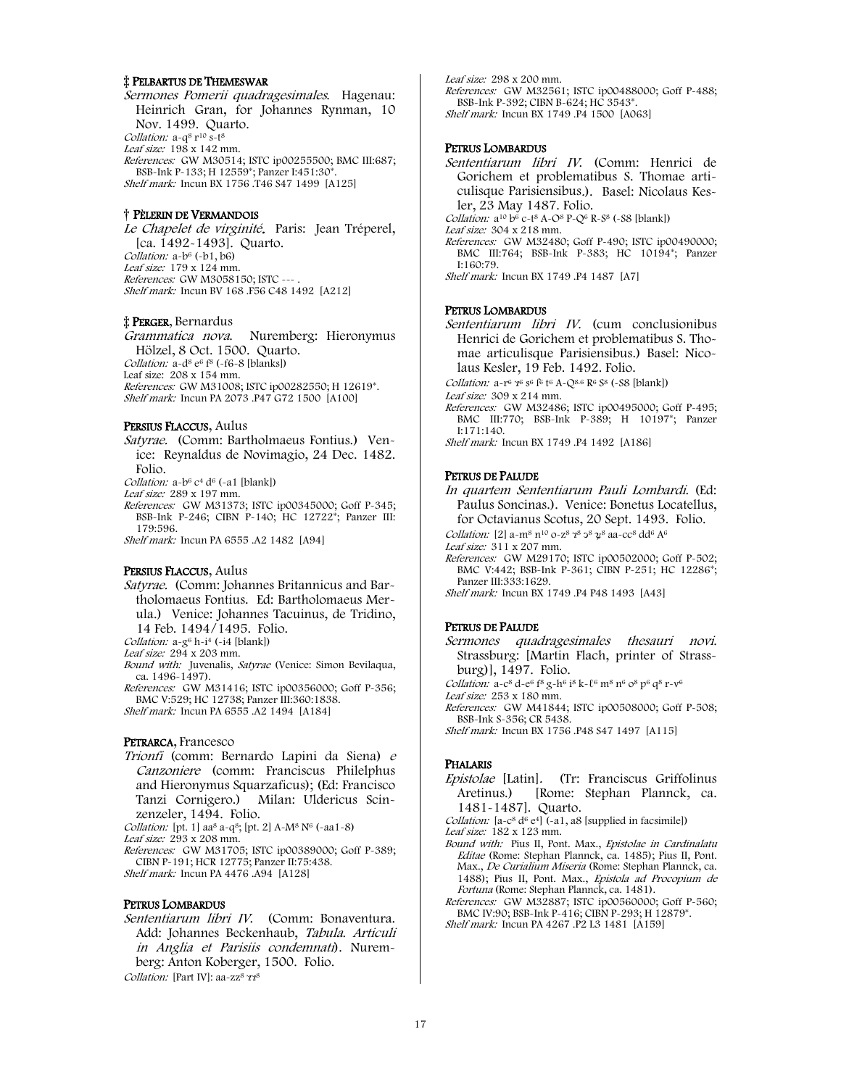### ‡ PELBARTUS DE THEMESWAR

Sermones Pomerii quadragesimales. Hagenau: Heinrich Gran, for Johannes Rynman, 10 Nov. 1499. Quarto. Collation: a-q<sup>8</sup> r<sup>10</sup> s-t<sup>8</sup> Leaf size:  $198 \times 142$  mm. References: GW M30514; ISTC ip00255500; BMC III:687; BSB-Ink P-133; H 12559\*; Panzer I:451:30\*. Shelf mark: Incun BX 1756 .T46 S47 1499 [A125]

#### † PÈLERIN DE VERMANDOIS

Le Chapelet de virginité. Paris: Jean Tréperel, [ca. 1492-1493]. Quarto. Collation: a-b6 (-b1, b6) Leaf size: 179 x 124 mm. References: GW M3058150; ISTC --- . Shelf mark: Incun BV 168 .F56 C48 1492 [A212]

#### ‡ PERGER, Bernardus

Grammatica nova. Nuremberg: Hieronymus Hölzel, 8 Oct. 1500. Quarto. Collation: a-d8 e6 f8 (-f6-8 [blanks]) Leaf size: 208 x 154 mm. References: GW M31008; ISTC ip00282550; H 12619\*. Shelf mark: Incun PA 2073 .P47 G72 1500 [A100]

#### PERSIUS FLACCUS, Aulus

Satyrae. (Comm: Bartholmaeus Fontius.) Venice: Reynaldus de Novimagio, 24 Dec. 1482. Folio.

Collation:  $a-b^6$   $c^4$   $d^6$  (-a1 [blank]) Leaf size: 289 x 197 mm.

References: GW M31373; ISTC ip00345000; Goff P-345; BSB-Ink P-246; CIBN P-140; HC 12722\*; Panzer III: 179:596.

Shelf mark: Incun PA 6555 .A2 1482 [A94]

#### PERSIUS FLACCUS, Aulus

Satyrae. (Comm: Johannes Britannicus and Bartholomaeus Fontius. Ed: Bartholomaeus Merula.) Venice: Johannes Tacuinus, de Tridino, 14 Feb. 1494/1495. Folio.

Collation:  $a-g^6 h-i^4$  (-i4 [blank])

Leaf size: 294 x 203 mm.

- Bound with: Juvenalis, Satyrae (Venice: Simon Bevilaqua. ca. 1496-1497).
- References: GW M31416; ISTC ip00356000; Goff P-356; BMC V:529; HC 12738; Panzer III:360:1838.

Shelf mark: Incun PA 6555 .A2 1494 [A184]

#### PETRARCA, Francesco

Trionfi (comm: Bernardo Lapini da Siena) <sup>e</sup> Canzoniere (comm: Franciscus Philelphus and Hieronymus Squarzaficus); (Ed: Francisco Tanzi Cornigero.) Milan: Uldericus Scinzenzeler, 1494. Folio.

Collation: [pt. 1] aa<sup>8</sup> a-q<sup>8</sup>; [pt. 2] A-M<sup>8</sup> N<sup>6</sup> (-aa1-8)

Leaf size:  $293 \times 208$  mm

References: GW M31705; ISTC ip00389000; Goff P-389; CIBN P-191; HCR 12775; Panzer II:75:438.

Shelf mark: Incun PA 4476 .A94 [A128]

#### PETRUS LOMBARDUS

Sententiarum libri IV. (Comm: Bonaventura. Add: Johannes Beckenhaub, Tabula. Articuli in Anglia et Parisiis condemnati). Nuremberg: Anton Koberger, 1500. Folio.

Collation: [Part IV]: aa-zz<sup>8</sup>  $77^8$ 

Leaf size: 298 x 200 mm. References: GW M32561; ISTC ip00488000; Goff P-488; BSB-Ink P-392; CIBN B-624; HC 3543\*. Shelf mark: Incun BX 1749 .P4 1500 [A063]

#### PETRUS LOMBARDUS

Sententiarum libri IV. (Comm: Henrici de Gorichem et problematibus S. Thomae articulisque Parisiensibus.). Basel: Nicolaus Kesler, 23 May 1487. Folio. Collation:  $a^{10} b^{6} c$ -t<sup>8</sup> A-O<sup>8</sup> P-Q<sup>6</sup> R-S<sup>8</sup> (-S8 [blank]) Leaf size: 304 x 218 mm. References: GW M32480; Goff P-490; ISTC ip00490000; BMC III:764; BSB-Ink P-383; HC 10194\*; Panzer

I:160:79. Shelf mark: Incun BX 1749 .P4 1487 [A7]

#### PETRUS LOMBARDUS

Sententiarum libri IV. (cum conclusionibus Henrici de Gorichem et problematibus S. Thomae articulisque Parisiensibus.) Basel: Nicolaus Kesler, 19 Feb. 1492. Folio.

Collation:  $a-r^6$   $r^6$   $s^6$   $f^6$   $A$ - $Q^{8.6}$   $R^6$   $S^8$  (~S8 [blank])

Leaf size: 309 x 214 mm.

- References: GW M32486; ISTC ip00495000; Goff P-495; BMC III:770; BSB-Ink P-389; H 10197\*; Panzer I:171:140. Shelf mark: Incun BX 1749 .P4 1492 [A186]
- 

#### PETRUS DE PALUDE

- In quartem Sententiarum Pauli Lombardi. (Ed: Paulus Soncinas.). Venice: Bonetus Locatellus, for Octavianus Scotus, 20 Sept. 1493. Folio.
- Collation: [2] a-m<sup>8</sup> n<sup>10</sup> o-z<sup>8</sup>  $7^8$   $3^8$   $2^8$  aa-cc<sup>8</sup> dd<sup>6</sup> A<sup>6</sup>

Leaf size: 311 x 207 mm.

References: GW M29170; ISTC ip00502000; Goff P-502; BMC V:442; BSB-Ink P-361; CIBN P-251; HC 12286\*; Panzer III:333:1629.

Shelf mark: Incun BX 1749 .P4 P48 1493 [A43]

#### PETRUS DE PALUDE

Sermones quadragesimales thesauri novi. Strassburg: [Martin Flach, printer of Strassburg)], 1497. Folio.

Collation: a-c<sup>8</sup> d-e<sup>6</sup> f<sup>8</sup> g-h<sup>6</sup> i<sup>8</sup> k-l<sup>6</sup> m<sup>8</sup> n<sup>6</sup> o<sup>8</sup> p<sup>6</sup> q<sup>8</sup> r-v<sup>6</sup>

Leaf size: 253 x 180 mm. References: GW M41844; ISTC ip00508000; Goff P-508; BSB-Ink S-356; CR 5438.

Shelf mark: Incun BX 1756 .P48 S47 1497 [A115]

#### PHALARIS

Epistolae [Latin]. (Tr: Franciscus Griffolinus Aretinus.) [Rome: Stephan Plannck, ca. 1481-1487]. Quarto.

Collation:  $[a-c^8 d^6 e^4]$  (-a1, a8 [supplied in facsimile])

- Leaf size: 182 x 123 mm.
- Bound with: Pius II, Pont. Max., Epistolae in Cardinalatu Editae (Rome: Stephan Plannck, ca. 1485); Pius II, Pont. Max., De Curialium Miseria (Rome: Stephan Plannck, ca. 1488); Pius II, Pont. Max., Epistola ad Procopium de Fortuna (Rome: Stephan Plannck, ca. 1481).
- References: GW M32887; ISTC ip00560000; Goff P-560; BMC IV:90; BSB-Ink P-416; CIBN P-293; H 12879\*. Shelf mark: Incun PA 4267 .P2 L3 1481 [A159]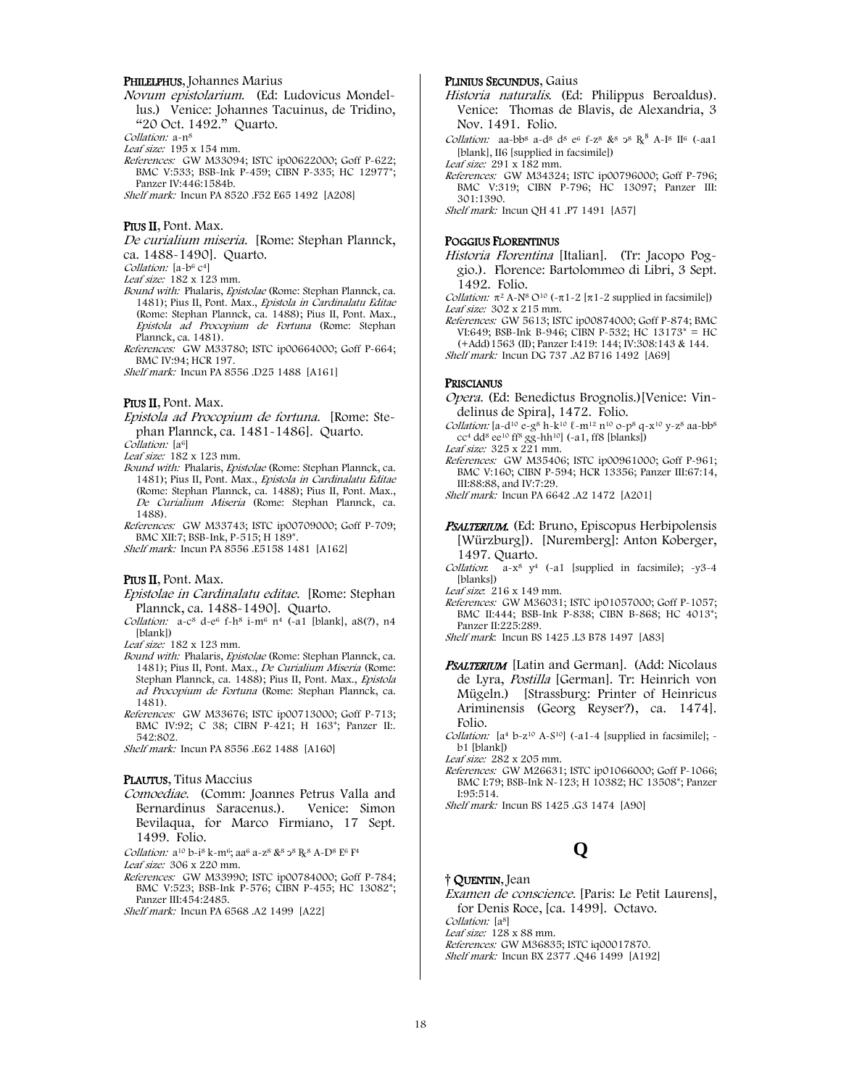#### PHILELPHUS, Johannes Marius

Novum epistolarium. (Ed: Ludovicus Mondellus.) Venice: Johannes Tacuinus, de Tridino, "20 Oct. 1492." Quarto.

Collation: a-n<sup>8</sup>

Leaf size: 195 x 154 mm.

References: GW M33094; ISTC ip00622000; Goff P-622; BMC V:533; BSB-Ink P-459; CIBN P-335; HC 12977\*; Panzer IV:446:1584b.

Shelf mark: Incun PA 8520 .F52 E65 1492 [A208]

#### Prus II, Pont. Max.

De curialium miseria. [Rome: Stephan Plannck, ca. 1488-1490]. Quarto.

Collation: [a-b<sup>6</sup> c<sup>4</sup>]

Leaf size: 182 x 123 mm.

- Bound with: Phalaris, Epistolae (Rome: Stephan Plannck, ca. 1481); Pius II, Pont. Max., Epistola in Cardinalatu Editae (Rome: Stephan Plannck, ca. 1488); Pius II, Pont. Max., Epistola ad Procopium de Fortuna (Rome: Stephan Plannck, ca. 1481).
- References: GW M33780; ISTC ip00664000; Goff P-664; BMC IV:94; HCR 197.

Shelf mark: Incun PA 8556 .D25 1488 [A161]

#### PIUS II, Pont. Max.

Epistola ad Procopium de fortuna. [Rome: Stephan Plannck, ca. 1481-1486]. Quarto.

Collation: [a<sup>6]</sup>

Leaf size: 182 x 123 mm.

Bound with: Phalaris, Epistolae (Rome: Stephan Plannck, ca. 1481); Pius II, Pont. Max., Epistola in Cardinalatu Editae (Rome: Stephan Plannck, ca. 1488); Pius II, Pont. Max., De Curialium Miseria (Rome: Stephan Plannck, ca. 1488).

References: GW M33743; ISTC ip00709000; Goff P-709; BMC XII:7; BSB-Ink, P-515; H 189\*.

Shelf mark: Incun PA 8556 .E5158 1481 [A162]

#### PIUS II, Pont. Max.

Epistolae in Cardinalatu editae. [Rome: Stephan Plannck, ca. 1488-1490]. Quarto.

Collation:  $a - c^8 d - e^6 f - h^8 i - m^6 n^4$  (-a1 [blank], a8(?), n4 [blank])

Leaf size: 182 x 123 mm.

- Bound with: Phalaris, Epistolae (Rome: Stephan Plannck, ca. 1481); Pius II, Pont. Max., De Curialium Miseria (Rome: Stephan Plannck, ca. 1488); Pius II, Pont. Max., Epistola ad Procopium de Fortuna (Rome: Stephan Plannck, ca. 1481).
- References: GW M33676; ISTC ip00713000; Goff P-713; BMC IV:92; C 38; CIBN P-421; H 163<sup>\*</sup>; Panzer II:. 542:802.

Shelf mark: Incun PA 8556 .E62 1488 [A160]

#### PLAUTUS, Titus Maccius

Comoediae. (Comm: Joannes Petrus Valla and Bernardinus Saracenus.). Venice: Simon Bevilaqua, for Marco Firmiano, 17 Sept. 1499. Folio.

Collation:  $a^{10} b^{-18} k$ -m<sup>6</sup>; aa<sup>6</sup> a-z<sup>8</sup> &<sup>8</sup>  $2^8$  R<sup>8</sup> A-D<sup>8</sup> E<sup>6</sup> F<sup>4</sup>

Leaf size: 306 x 220 mm.

References: GW M33990; ISTC ip00784000; Goff P-784; BMC V:523; BSB-Ink P-576; CIBN P-455; HC 13082\*; Panzer III:454:2485.

Shelf mark: Incun PA 6568 .A2 1499 [A22]

### PLINIUS SECUNDUS, Gaius

- Historia naturalis. (Ed: Philippus Beroaldus). Venice: Thomas de Blavis, de Alexandria, 3 Nov. 1491. Folio.
- Collation: aa-bb<sup>8</sup> a-d<sup>8</sup> d<sup>8</sup> e<sup>6</sup> f-z<sup>8</sup>  $\&$ <sup>8</sup>  $\rightarrow$ <sup>8</sup>  $R$ <sup>8</sup> A-I<sup>8</sup> II<sup>6</sup> (-aa1 [blank], II6 [supplied in facsimile])

Leaf size:  $291 \times 182$  mm.

References: GW M34324; ISTC ip00796000; Goff P-796; BMC V:319; CIBN P-796; HC 13097; Panzer III: 301:1390.

Shelf mark: Incun QH 41 .P7 1491 [A57]

#### POGGIUS FLORENTINUS

Historia Florentina [Italian]. (Tr: Jacopo Poggio.). Florence: Bartolommeo di Libri, 3 Sept. 1492. Folio.

Collation:  $\pi^2$  A-N<sup>8</sup> O<sup>10</sup> (- $\pi$ 1-2 [ $\pi$ 1-2 supplied in facsimile]) Leaf size: 302 x 215 mm.

References: GW 5613; ISTC ip00874000; Goff P-874; BMC VI:649; BSB-Ink B-946; CIBN P-532; HC  $13173^* =$  HC (+Add)1563 (II); Panzer I:419: 144; IV:308:143 & 144. Shelf mark: Incun DG 737 .A2 B716 1492 [A69]

#### PRISCIANUS

- Opera. (Ed: Benedictus Brognolis.)[Venice: Vindelinus de Spira], 1472. Folio.
- Collation: [a-d<sup>10</sup> e-g<sup>8</sup> h-k<sup>10</sup>  $\ell$ -m<sup>12</sup> n<sup>10</sup> o-p<sup>8</sup> q-x<sup>10</sup> y-z<sup>8</sup> aa-bb<sup>8</sup>  $cc^4$  dd<sup>8</sup>  $ee^{10}$  ff<sup>8</sup> gg-hh<sup>10</sup>] (-a1, ff8 [blanks])
- Leaf size: 325 x 221 mm. References: GW M35406; ISTC ip00961000; Goff P-961; BMC V:160; CIBN P-594; HCR 13356; Panzer III:67:14, III:88:88, and IV:7:29.

Shelf mark: Incun PA 6642 .A2 1472 [A201]

- PSALTERIUM. (Ed: Bruno, Episcopus Herbipolensis [Würzburg]). [Nuremberg]: Anton Koberger, 1497. Quarto.
- Collation:  $a-x^8$  y<sup>4</sup> (-a1 [supplied in facsimile); -y3-4 [blanks])

Leaf size: 216 x 149 mm.

References: GW M36031; ISTC ip01057000; Goff P-1057; BMC II:444; BSB-Ink P-838; CIBN B-868; HC 4013<sup>\*</sup>; Panzer II:225:289.

Shelf mark: Incun BS 1425 .L3 B78 1497 [A83]

- PSALTERIUM [Latin and German]. (Add: Nicolaus de Lyra, Postilla [German]. Tr: Heinrich von Mügeln.) [Strassburg: Printer of Heinricus Ariminensis (Georg Reyser?), ca. 1474]. Folio.
- Collation:  $[a^4 b-z^{10} A-S^{10}]$  (-a1-4 [supplied in facsimile]; b1 [blank])

Leaf size: 282 x 205 mm.

References: GW M26631; ISTC ip01066000; Goff P-1066; BMC I:79; BSB-Ink N-123; H 10382; HC 13508\*; Panzer I:95:514.

Shelf mark: Incun BS 1425 .G3 1474 [A90]

# **Q**

† QUENTIN, Jean

Examen de conscience. [Paris: Le Petit Laurens], for Denis Roce, [ca. 1499]. Octavo. Collation: [a8] Leaf size: 128 x 88 mm. References: GW M36835; ISTC iq00017870.

Shelf mark: Incun BX 2377 .Q46 1499 [A192]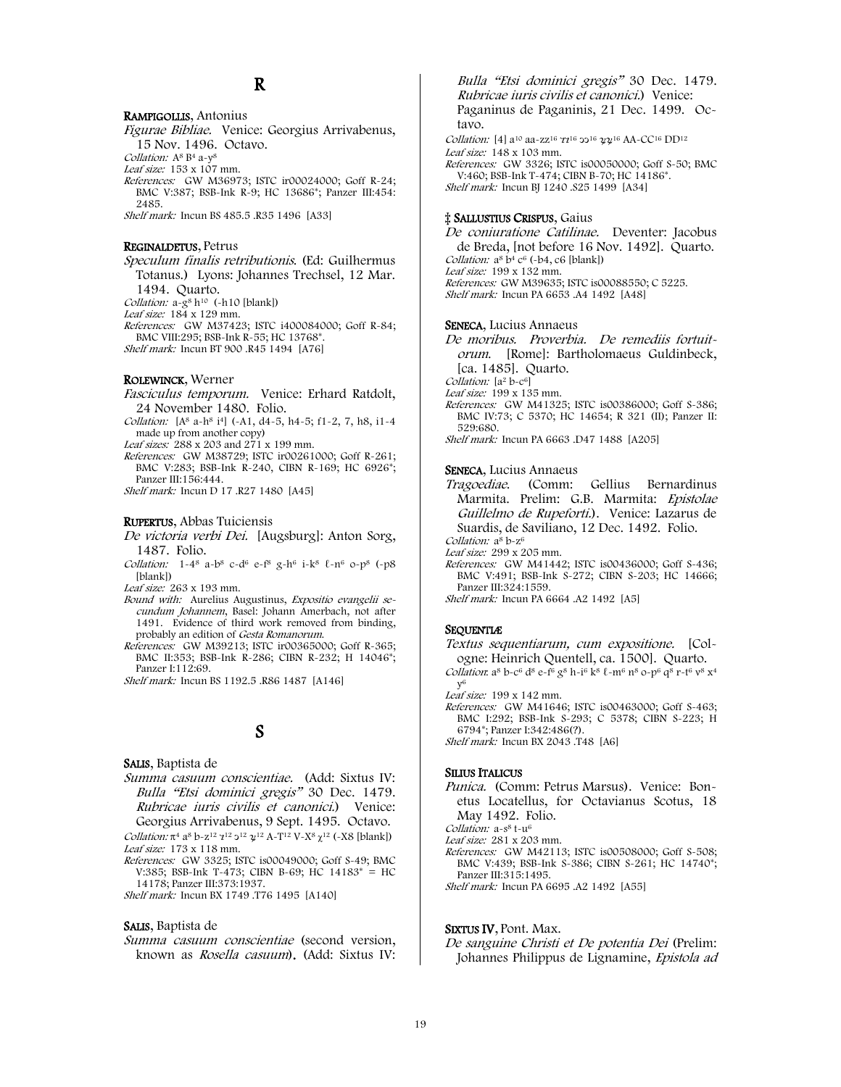#### RAMPIGOLLIS, Antonius

Figurae Bibliae. Venice: Georgius Arrivabenus, 15 Nov. 1496. Octavo.

Collation: A<sup>8</sup> B<sup>4</sup> a-y<sup>8</sup>

Leaf size: 153 x 107 mm.

References: GW M36973; ISTC ir00024000; Goff R-24; BMC V:387; BSB-Ink R-9; HC 13686\*; Panzer III:454: 2485.

Shelf mark: Incun BS 485.5 .R35 1496 [A33]

#### REGINALDETUS, Petrus

Speculum finalis retributionis. (Ed: Guilhermus Totanus.) Lyons: Johannes Trechsel, 12 Mar. 1494. Quarto. Collation:  $a-g^8 h^{10}$  (-h10 [blank])

Leaf size: 184 x 129 mm.

References: GW M37423; ISTC i400084000; Goff R-84; BMC VIII:295; BSB-Ink R-55; HC 13768\*. Shelf mark: Incun BT 900 .R45 1494 [A76]

#### ROLEWINCK, Werner

- Fasciculus temporum. Venice: Erhard Ratdolt, 24 November 1480. Folio.
- Collation: [A<sup>8</sup> a-h<sup>8</sup> i<sup>4</sup>] (-A1, d4-5, h4-5; f1-2, 7, h8, i1-4 made up from another copy)

Leaf sizes: 288 x 203 and 271 x 199 mm.

References: GW M38729; ISTC ir00261000; Goff R-261; BMC V:283; BSB-Ink R-240, CIBN R-169; HC 6926\*; Panzer III:156:444.

Shelf mark: Incun D 17 .R27 1480 [A45]

#### RUPERTUS, Abbas Tuiciensis

De victoria verbi Dei. [Augsburg]: Anton Sorg, 1487. Folio.

Collation:  $1-4^8$  a-b<sup>8</sup> c-d<sup>6</sup> e-f<sup>8</sup> g-h<sup>6</sup> i-k<sup>8</sup> l-n<sup>6</sup> o-p<sup>8</sup> (-p8 [blank])

Leaf size: 263 x 193 mm.

- Bound with: Aurelius Augustinus, Expositio evangelii secundum Johannem, Basel: Johann Amerbach, not after 1491. Evidence of third work removed from binding, probably an edition of Gesta Romanorum.
- References: GW M39213; ISTC ir00365000; Goff R-365; BMC II:353; BSB-Ink R-286; CIBN R-232; H 14046<sup>\*</sup>; Panzer I:112:69.

Shelf mark: Incun BS 1192.5 .R86 1487 [A146]

# S

SALIS, Baptista de

Summa casuum conscientiae. (Add: Sixtus IV: Bulla "Etsi dominici gregis" 30 Dec. 1479. Rubricae iuris civilis et canonici.) Venice: Georgius Arrivabenus, 9 Sept. 1495. Octavo.

Collation:  $\pi^4$  a<sup>8</sup> b-z<sup>12</sup>  $\chi^{12}$   $\chi^{12}$   $\chi^{12}$  A-T<sup>12</sup> V-X<sup>8</sup>  $\chi^{12}$  (-X8 [blank]) Leaf size: 173 x 118 mm.

References: GW 3325; ISTC is00049000; Goff S-49; BMC V:385; BSB-Ink T-473; CIBN B-69; HC 14183\* = HC 14178; Panzer III:373:1937.

Shelf mark: Incun BX 1749 .T76 1495 [A140]

#### SALIS, Baptista de

Summa casuum conscientiae (second version, known as Rosella casuum). (Add: Sixtus IV:

Bulla "Etsi dominici gregis" 30 Dec. 1479. Rubricae iuris civilis et canonici.) Venice: Paganinus de Paganinis, 21 Dec. 1499. Octavo.

Collation: [4] a<sup>10</sup> aa-zz<sup>16</sup>  $71^{16}$  32<sup>16</sup>  $22^{16}$  AA-CC<sup>16</sup> DD<sup>12</sup> Leaf size: 148 x 103 mm.

References: GW 3326; ISTC is00050000; Goff S-50; BMC V:460; BSB-Ink T-474; CIBN B-70; HC 14186\*. Shelf mark: Incun BJ 1240 .S25 1499 [A34]

#### ‡ SALLUSTIUS CRISPUS, Gaius

De coniuratione Catilinae. Deventer: Jacobus de Breda, [not before 16 Nov. 1492]. Quarto. Collation:  $a^8 b^4 c^6$  (-b4, c6 [blank]) Leaf size: 199 x 132 mm. References: GW M39635; ISTC is00088550; C 5225. Shelf mark: Incun PA 6653 .A4 1492 [A48]

#### SENECA, Lucius Annaeus

De moribus. Proverbia. De remediis fortuitorum. [Rome]: Bartholomaeus Guldinbeck, [ca. 1485]. Quarto.

Collation: [a<sup>2</sup> b-c<sup>6]</sup>

Leaf size: 199 x 135 mm.

References: GW M41325; ISTC is00386000; Goff S-386; BMC IV:73; C 5370; HC 14654; R 321 (II); Panzer II: 529:680. Shelf mark: Incun PA 6663 .D47 1488 [A205]

#### SENECA, Lucius Annaeus

Tragoediae. (Comm: Gellius Bernardinus Marmita. Prelim: G.B. Marmita: Epistolae Guillelmo de Rupeforti.). Venice: Lazarus de Suardis, de Saviliano, 12 Dec. 1492. Folio. Collation: a<sup>8</sup> b-z<sup>6</sup>

Leaf size: 299 x 205 mm.

References: GW M41442; ISTC is00436000; Goff S-436; BMC V:491; BSB-Ink S-272; CIBN S-203; HC 14666; Panzer III:324:1559.

Shelf mark: Incun PA 6664 .A2 1492 [A5]

#### SEQUENTIÆ

- Textus sequentiarum, cum expositione. [Cologne: Heinrich Quentell, ca. 1500]. Quarto.
- Collation: a<sup>8</sup> b-c<sup>6</sup> d<sup>8</sup> e-f<sup>6</sup> g<sup>8</sup> h-i<sup>6</sup> k<sup>8</sup> l-m<sup>6</sup> n<sup>8</sup> o-p<sup>6</sup> q<sup>8</sup> r-t<sup>6</sup> v<sup>8</sup> x<sup>4</sup> y6

Leaf size: 199 x 142 mm.

References: GW M41646; ISTC is00463000; Goff S-463; BMC I:292; BSB-Ink S-293; C 5378; CIBN S-223; H 6794\*; Panzer I:342:486(?).

Shelf mark: Incun BX 2043 .T48 [A6]

#### SILIUS ITALICUS

Punica. (Comm: Petrus Marsus). Venice: Bonetus Locatellus, for Octavianus Scotus, 18 May 1492. Folio.

Collation: a-s<sup>8</sup> t-u<sup>6</sup>

Leaf size: 281 x 203 mm.

References: GW M42113; ISTC is00508000; Goff S-508; BMC V:439; BSB-Ink S-386; CIBN S-261; HC 14740\*; Panzer III:315:1495.

Shelf mark: Incun PA 6695 .A2 1492 [A55]

#### SIXTUS IV, Pont. Max.

De sanguine Christi et De potentia Dei (Prelim: Johannes Philippus de Lignamine, Epistola ad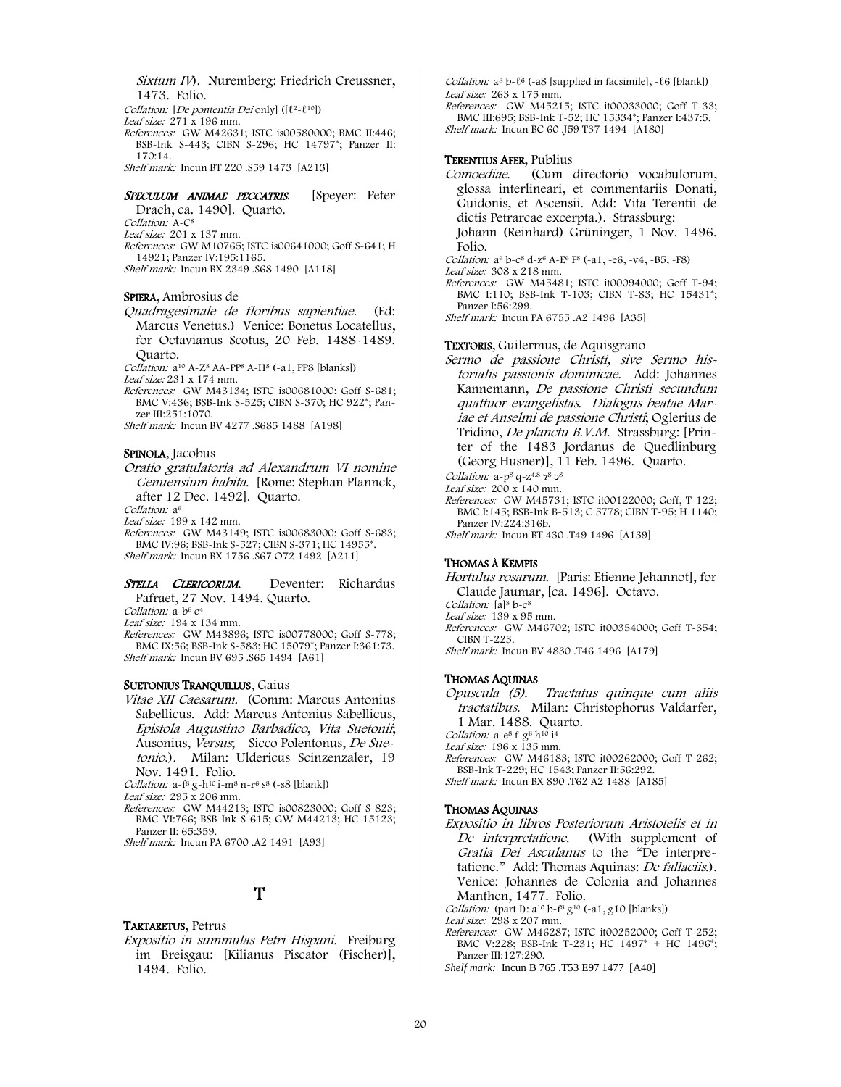Sixtum IV). Nuremberg: Friedrich Creussner, 1473. Folio.

Collation: [De pontentia Dei only] ([ℓ2-ℓ10])

Leaf size:  $271 \times 196$  mm.

References: GW M42631; ISTC is00580000; BMC II:446; BSB-Ink S-443; CIBN S-296; HC 14797\*; Panzer II: 170:14.

Shelf mark: Incun BT 220 .S59 1473 [A213]

SPECULUM ANIMAE PECCATRIS. [Speyer: Peter Drach, ca. 1490]. Quarto. Collation: A-C8

Leaf size: 201 x 137 mm.

References: GW M10765; ISTC is00641000; Goff S-641; H 14921; Panzer IV:195:1165.

Shelf mark: Incun BX 2349 .S68 1490 [A118]

#### SPIERA, Ambrosius de

Quadragesimale de floribus sapientiae. (Ed: Marcus Venetus.) Venice: Bonetus Locatellus, for Octavianus Scotus, 20 Feb. 1488-1489. Quarto.

Collation: a10 A-Z8 AA-PP8 A-H8 (-a1, PP8 [blanks])

Leaf size: 231 x 174 mm.

References: GW M43134; ISTC is00681000; Goff S-681; BMC V:436; BSB-Ink S-525; CIBN S-370; HC 922\*; Panzer III:251:1070.

Shelf mark: Incun BV 4277 .S685 1488 [A198]

#### SPINOLA, Jacobus

Oratio gratulatoria ad Alexandrum VI nomine Genuensium habita. [Rome: Stephan Plannck, after 12 Dec. 1492]. Quarto.

Collation: a<sup>6</sup>

Leaf size: 199 x 142 mm.

References: GW M43149; ISTC is00683000; Goff S-683; BMC IV:96; BSB-Ink S-527; CIBN S-371; HC 14955\*. Shelf mark: Incun BX 1756 .S67 O72 1492 [A211]

## STELLA CLERICORUM. Deventer: Richardus

Pafraet, 27 Nov. 1494. Quarto.

Collation: a-b<sub>6</sub> c<sup>4</sup>

Leaf size: 194 x 134 mm.

References: GW M43896; ISTC is00778000; Goff S-778; BMC IX:56; BSB-Ink S-583; HC 15079\*; Panzer I:361:73. Shelf mark: Incun BV 695 .S65 1494 [A61]

#### SUETONIUS TRANQUILLUS, Gaius

Vitae XII Caesarum. (Comm: Marcus Antonius Sabellicus. Add: Marcus Antonius Sabellicus, Epistola Augustino Barbadico, Vita Suetonii; Ausonius, Versus; Sicco Polentonus, De Suetonio.). Milan: Uldericus Scinzenzaler, 19 Nov. 1491. Folio.

Collation:  $a-f^8 g-h^{10} i-m^8 n-r^6 s^8$  (~s8 [blank])

Leaf size: 295 x 206 mm.

References: GW M44213; ISTC is00823000; Goff S-823; BMC VI:766; BSB-Ink S-615; GW M44213; HC 15123; Panzer II: 65:359.

Shelf mark: Incun PA 6700 .A2 1491 [A93]

# T

#### TARTARETUS, Petrus

Expositio in summulas Petri Hispani. Freiburg im Breisgau: [Kilianus Piscator (Fischer)], 1494. Folio.

Collation: a<sup>8</sup> b- $\ell$ <sup>6</sup> (-a8 [supplied in facsimile], - $\ell$ 6 [blank]) Leaf size: 263 x 175 mm.

References: GW M45215; ISTC it00033000; Goff T-33; BMC III:695; BSB-Ink T-52; HC 15334\*; Panzer I:437:5. Shelf mark: Incun BC 60 .J59 T37 1494 [A180]

#### TERENTIUS AFER, Publius

Comoediae. (Cum directorio vocabulorum, glossa interlineari, et commentariis Donati, Guidonis, et Ascensii. Add: Vita Terentii de dictis Petrarcae excerpta.). Strassburg: Johann (Reinhard) Grüninger, 1 Nov. 1496.

Folio.

Collation: a6 b-c8 d-z6 A-E6 F8 (-a1, -e6, -v4, -B5, -F8) Leaf size: 308 x 218 mm.

References: GW M45481; ISTC it00094000; Goff T-94; BMC I:110; BSB-Ink T-103; CIBN T-83; HC 15431\*; Panzer I:56:299.

Shelf mark: Incun PA 6755 .A2 1496 [A35]

#### TEXTORIS, Guilermus, de Aquisgrano

Sermo de passione Christi, sive Sermo historialis passionis dominicae. Add: Johannes Kannemann, De passione Christi secundum quattuor evangelistas. Dialogus beatae Mariae et Anselmi de passione Christi; Oglerius de Tridino, De planctu B.V.M. Strassburg: [Printer of the 1483 Jordanus de Quedlinburg (Georg Husner)], 11 Feb. 1496. Quarto.

Collation: a-p<sup>8</sup> q-z<sup>4.8</sup>  $7^8$   $3^8$ 

Leaf size: 200 x 140 mm.

References: GW M45731; ISTC it00122000; Goff, T-122; BMC I:145; BSB-Ink B-513; C 5778; CIBN T-95; H 1140; Panzer IV:224:316b.

Shelf mark: Incun BT 430 .T49 1496 [A139]

#### THOMAS À KEMPIS

Hortulus rosarum. [Paris: Etienne Jehannot], for Claude Jaumar, [ca. 1496]. Octavo.

Collation: [a]<sup>8</sup> b-c<sup>8</sup>

Leaf size: 139 x 95 mm.

References: GW M46702; ISTC it00354000; Goff T-354; CIBN T-223.

Shelf mark: Incun BV 4830 .T46 1496 [A179]

#### THOMAS AQUINAS

Opuscula (5). Tractatus quinque cum aliis tractatibus. Milan: Christophorus Valdarfer, 1 Mar. 1488. Quarto.

Collation:  $a-e^8 f-g^6 h^{10} i^4$ 

Leaf size: 196 x 135 mm.

References: GW M46183; ISTC it00262000; Goff T-262; BSB-Ink T-229; HC 1543; Panzer II:56:292.

Shelf mark: Incun BX 890 .T62 A2 1488 [A185]

### THOMAS AQUINAS

Expositio in libros Posteriorum Aristotelis et in De interpretatione. (With supplement of Gratia Dei Asculanus to the "De interpretatione." Add: Thomas Aquinas: De fallaciis.). Venice: Johannes de Colonia and Johannes Manthen, 1477. Folio.

Collation: (part I):  $a^{10}b^{-6}g^{10}$  (-a1, g10 [blanks])

- Leaf size: 298 x 207 mm. References: GW M46287; ISTC it00252000; Goff T-252;
- BMC V:228; BSB-Ink T-231; HC 1497\* + HC 1496\*; Panzer III:127:290.

*Shelf mark:* Incun B 765 .T53 E97 1477 [A40]